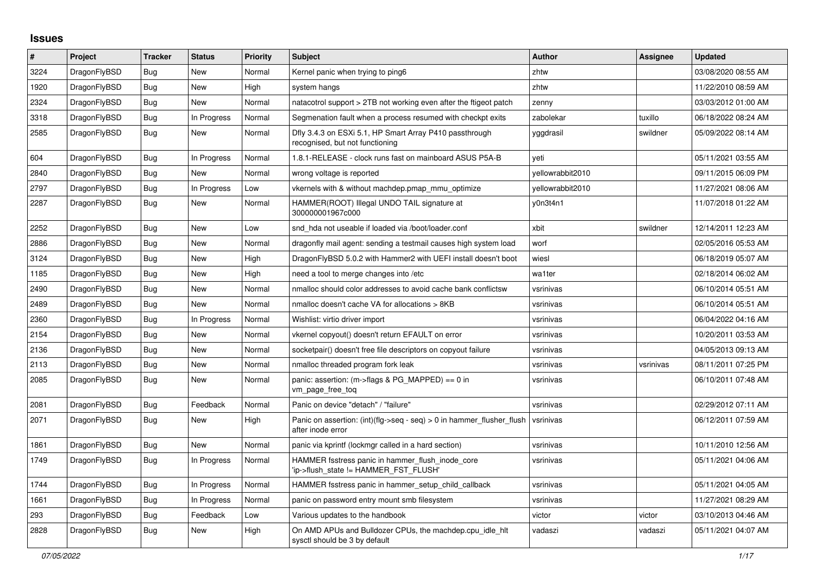## **Issues**

| $\#$ | Project      | <b>Tracker</b> | <b>Status</b> | <b>Priority</b> | <b>Subject</b>                                                                             | <b>Author</b>    | Assignee  | <b>Updated</b>      |
|------|--------------|----------------|---------------|-----------------|--------------------------------------------------------------------------------------------|------------------|-----------|---------------------|
| 3224 | DragonFlyBSD | Bug            | <b>New</b>    | Normal          | Kernel panic when trying to ping6                                                          | zhtw             |           | 03/08/2020 08:55 AM |
| 1920 | DragonFlyBSD | <b>Bug</b>     | <b>New</b>    | High            | system hangs                                                                               | zhtw             |           | 11/22/2010 08:59 AM |
| 2324 | DragonFlyBSD | <b>Bug</b>     | <b>New</b>    | Normal          | natacotrol support > 2TB not working even after the ftigeot patch                          | zenny            |           | 03/03/2012 01:00 AM |
| 3318 | DragonFlyBSD | <b>Bug</b>     | In Progress   | Normal          | Segmenation fault when a process resumed with checkpt exits                                | zabolekar        | tuxillo   | 06/18/2022 08:24 AM |
| 2585 | DragonFlyBSD | <b>Bug</b>     | New           | Normal          | Dfly 3.4.3 on ESXi 5.1, HP Smart Array P410 passthrough<br>recognised, but not functioning | yggdrasil        | swildner  | 05/09/2022 08:14 AM |
| 604  | DragonFlyBSD | Bug            | In Progress   | Normal          | 1.8.1-RELEASE - clock runs fast on mainboard ASUS P5A-B                                    | veti             |           | 05/11/2021 03:55 AM |
| 2840 | DragonFlyBSD | <b>Bug</b>     | <b>New</b>    | Normal          | wrong voltage is reported                                                                  | vellowrabbit2010 |           | 09/11/2015 06:09 PM |
| 2797 | DragonFlyBSD | Bug            | In Progress   | Low             | vkernels with & without machdep.pmap mmu optimize                                          | yellowrabbit2010 |           | 11/27/2021 08:06 AM |
| 2287 | DragonFlyBSD | Bug            | New           | Normal          | HAMMER(ROOT) Illegal UNDO TAIL signature at<br>300000001967c000                            | y0n3t4n1         |           | 11/07/2018 01:22 AM |
| 2252 | DragonFlyBSD | <b>Bug</b>     | New           | Low             | snd hda not useable if loaded via /boot/loader.conf                                        | xbit             | swildner  | 12/14/2011 12:23 AM |
| 2886 | DragonFlyBSD | Bug            | New           | Normal          | dragonfly mail agent: sending a testmail causes high system load                           | worf             |           | 02/05/2016 05:53 AM |
| 3124 | DragonFlyBSD | <b>Bug</b>     | New           | High            | DragonFlyBSD 5.0.2 with Hammer2 with UEFI install doesn't boot                             | wiesl            |           | 06/18/2019 05:07 AM |
| 1185 | DragonFlyBSD | Bug            | <b>New</b>    | High            | need a tool to merge changes into /etc                                                     | wa1ter           |           | 02/18/2014 06:02 AM |
| 2490 | DragonFlyBSD | Bug            | New           | Normal          | nmalloc should color addresses to avoid cache bank conflictsw                              | vsrinivas        |           | 06/10/2014 05:51 AM |
| 2489 | DragonFlyBSD | Bug            | New           | Normal          | nmalloc doesn't cache VA for allocations > 8KB                                             | vsrinivas        |           | 06/10/2014 05:51 AM |
| 2360 | DragonFlyBSD | Bug            | In Progress   | Normal          | Wishlist: virtio driver import                                                             | vsrinivas        |           | 06/04/2022 04:16 AM |
| 2154 | DragonFlyBSD | Bug            | New           | Normal          | vkernel copyout() doesn't return EFAULT on error                                           | vsrinivas        |           | 10/20/2011 03:53 AM |
| 2136 | DragonFlyBSD | Bug            | <b>New</b>    | Normal          | socketpair() doesn't free file descriptors on copyout failure                              | vsrinivas        |           | 04/05/2013 09:13 AM |
| 2113 | DragonFlyBSD | <b>Bug</b>     | <b>New</b>    | Normal          | nmalloc threaded program fork leak                                                         | vsrinivas        | vsrinivas | 08/11/2011 07:25 PM |
| 2085 | DragonFlyBSD | <b>Bug</b>     | New           | Normal          | panic: assertion: (m->flags & PG_MAPPED) == 0 in<br>vm_page_free_toq                       | vsrinivas        |           | 06/10/2011 07:48 AM |
| 2081 | DragonFlyBSD | <b>Bug</b>     | Feedback      | Normal          | Panic on device "detach" / "failure"                                                       | vsrinivas        |           | 02/29/2012 07:11 AM |
| 2071 | DragonFlyBSD | Bug            | <b>New</b>    | High            | Panic on assertion: (int)(flg->seq - seq) > 0 in hammer flusher flush<br>after inode error | vsrinivas        |           | 06/12/2011 07:59 AM |
| 1861 | DragonFlyBSD | Bug            | New           | Normal          | panic via kprintf (lockmgr called in a hard section)                                       | vsrinivas        |           | 10/11/2010 12:56 AM |
| 1749 | DragonFlyBSD | Bug            | In Progress   | Normal          | HAMMER fsstress panic in hammer flush inode core<br>'ip->flush state != HAMMER FST FLUSH'  | vsrinivas        |           | 05/11/2021 04:06 AM |
| 1744 | DragonFlyBSD | <b>Bug</b>     | In Progress   | Normal          | HAMMER fsstress panic in hammer_setup_child_callback                                       | vsrinivas        |           | 05/11/2021 04:05 AM |
| 1661 | DragonFlyBSD | <b>Bug</b>     | In Progress   | Normal          | panic on password entry mount smb filesystem                                               | vsrinivas        |           | 11/27/2021 08:29 AM |
| 293  | DragonFlyBSD | Bug            | Feedback      | Low             | Various updates to the handbook                                                            | victor           | victor    | 03/10/2013 04:46 AM |
| 2828 | DragonFlyBSD | Bug            | <b>New</b>    | High            | On AMD APUs and Bulldozer CPUs, the machdep.cpu_idle_hlt<br>sysctl should be 3 by default  | vadaszi          | vadaszi   | 05/11/2021 04:07 AM |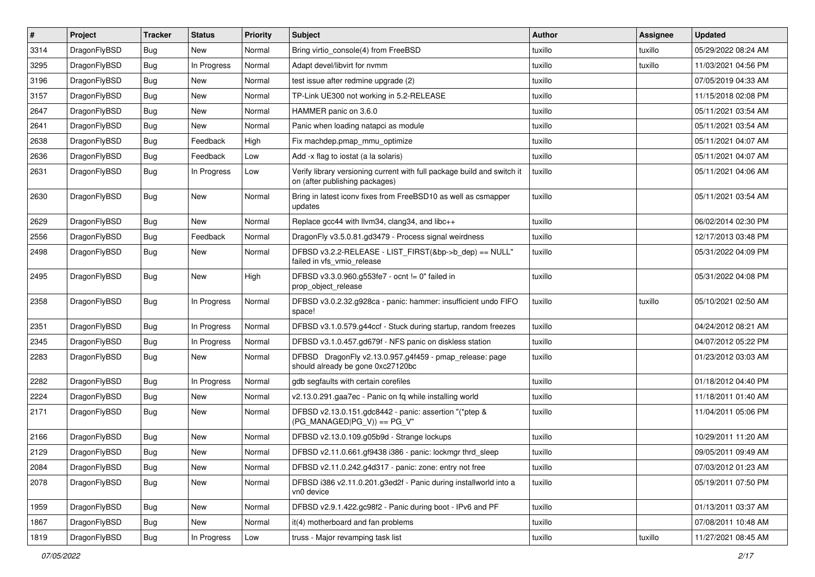| $\vert$ # | Project      | <b>Tracker</b> | <b>Status</b> | <b>Priority</b> | Subject                                                                                                   | <b>Author</b> | Assignee | <b>Updated</b>      |
|-----------|--------------|----------------|---------------|-----------------|-----------------------------------------------------------------------------------------------------------|---------------|----------|---------------------|
| 3314      | DragonFlyBSD | Bug            | New           | Normal          | Bring virtio_console(4) from FreeBSD                                                                      | tuxillo       | tuxillo  | 05/29/2022 08:24 AM |
| 3295      | DragonFlyBSD | Bug            | In Progress   | Normal          | Adapt devel/libvirt for nvmm                                                                              | tuxillo       | tuxillo  | 11/03/2021 04:56 PM |
| 3196      | DragonFlyBSD | <b>Bug</b>     | New           | Normal          | test issue after redmine upgrade (2)                                                                      | tuxillo       |          | 07/05/2019 04:33 AM |
| 3157      | DragonFlyBSD | <b>Bug</b>     | <b>New</b>    | Normal          | TP-Link UE300 not working in 5.2-RELEASE                                                                  | tuxillo       |          | 11/15/2018 02:08 PM |
| 2647      | DragonFlyBSD | Bug            | <b>New</b>    | Normal          | HAMMER panic on 3.6.0                                                                                     | tuxillo       |          | 05/11/2021 03:54 AM |
| 2641      | DragonFlyBSD | <b>Bug</b>     | New           | Normal          | Panic when loading natapci as module                                                                      | tuxillo       |          | 05/11/2021 03:54 AM |
| 2638      | DragonFlyBSD | Bug            | Feedback      | High            | Fix machdep.pmap_mmu_optimize                                                                             | tuxillo       |          | 05/11/2021 04:07 AM |
| 2636      | DragonFlyBSD | <b>Bug</b>     | Feedback      | Low             | Add -x flag to iostat (a la solaris)                                                                      | tuxillo       |          | 05/11/2021 04:07 AM |
| 2631      | DragonFlyBSD | <b>Bug</b>     | In Progress   | Low             | Verify library versioning current with full package build and switch it<br>on (after publishing packages) | tuxillo       |          | 05/11/2021 04:06 AM |
| 2630      | DragonFlyBSD | <b>Bug</b>     | New           | Normal          | Bring in latest iconv fixes from FreeBSD10 as well as csmapper<br>updates                                 | tuxillo       |          | 05/11/2021 03:54 AM |
| 2629      | DragonFlyBSD | Bug            | New           | Normal          | Replace gcc44 with llvm34, clang34, and libc++                                                            | tuxillo       |          | 06/02/2014 02:30 PM |
| 2556      | DragonFlyBSD | <b>Bug</b>     | Feedback      | Normal          | DragonFly v3.5.0.81.gd3479 - Process signal weirdness                                                     | tuxillo       |          | 12/17/2013 03:48 PM |
| 2498      | DragonFlyBSD | Bug            | New           | Normal          | DFBSD v3.2.2-RELEASE - LIST_FIRST(&bp->b_dep) == NULL"<br>failed in vfs_vmio_release                      | tuxillo       |          | 05/31/2022 04:09 PM |
| 2495      | DragonFlyBSD | Bug            | New           | High            | DFBSD v3.3.0.960.g553fe7 - ocnt != 0" failed in<br>prop_object_release                                    | tuxillo       |          | 05/31/2022 04:08 PM |
| 2358      | DragonFlyBSD | <b>Bug</b>     | In Progress   | Normal          | DFBSD v3.0.2.32.g928ca - panic: hammer: insufficient undo FIFO<br>space!                                  | tuxillo       | tuxillo  | 05/10/2021 02:50 AM |
| 2351      | DragonFlyBSD | <b>Bug</b>     | In Progress   | Normal          | DFBSD v3.1.0.579.g44ccf - Stuck during startup, random freezes                                            | tuxillo       |          | 04/24/2012 08:21 AM |
| 2345      | DragonFlyBSD | <b>Bug</b>     | In Progress   | Normal          | DFBSD v3.1.0.457.gd679f - NFS panic on diskless station                                                   | tuxillo       |          | 04/07/2012 05:22 PM |
| 2283      | DragonFlyBSD | Bug            | New           | Normal          | DFBSD DragonFly v2.13.0.957.g4f459 - pmap_release: page<br>should already be gone 0xc27120bc              | tuxillo       |          | 01/23/2012 03:03 AM |
| 2282      | DragonFlyBSD | Bug            | In Progress   | Normal          | gdb segfaults with certain corefiles                                                                      | tuxillo       |          | 01/18/2012 04:40 PM |
| 2224      | DragonFlyBSD | Bug            | <b>New</b>    | Normal          | v2.13.0.291.gaa7ec - Panic on fq while installing world                                                   | tuxillo       |          | 11/18/2011 01:40 AM |
| 2171      | DragonFlyBSD | Bug            | <b>New</b>    | Normal          | DFBSD v2.13.0.151.gdc8442 - panic: assertion "(*ptep &<br>$(PG$ MANAGED $ PG$ V)) == PG V"                | tuxillo       |          | 11/04/2011 05:06 PM |
| 2166      | DragonFlyBSD | Bug            | New           | Normal          | DFBSD v2.13.0.109.g05b9d - Strange lockups                                                                | tuxillo       |          | 10/29/2011 11:20 AM |
| 2129      | DragonFlyBSD | <b>Bug</b>     | New           | Normal          | DFBSD v2.11.0.661.gf9438 i386 - panic: lockmgr thrd_sleep                                                 | tuxillo       |          | 09/05/2011 09:49 AM |
| 2084      | DragonFlyBSD | Bug            | New           | Normal          | DFBSD v2.11.0.242.g4d317 - panic: zone: entry not free                                                    | tuxillo       |          | 07/03/2012 01:23 AM |
| 2078      | DragonFlyBSD | <b>Bug</b>     | New           | Normal          | DFBSD i386 v2.11.0.201.g3ed2f - Panic during installworld into a<br>vn0 device                            | tuxillo       |          | 05/19/2011 07:50 PM |
| 1959      | DragonFlyBSD | Bug            | New           | Normal          | DFBSD v2.9.1.422.gc98f2 - Panic during boot - IPv6 and PF                                                 | tuxillo       |          | 01/13/2011 03:37 AM |
| 1867      | DragonFlyBSD | <b>Bug</b>     | New           | Normal          | it(4) motherboard and fan problems                                                                        | tuxillo       |          | 07/08/2011 10:48 AM |
| 1819      | DragonFlyBSD | <b>Bug</b>     | In Progress   | Low             | truss - Major revamping task list                                                                         | tuxillo       | tuxillo  | 11/27/2021 08:45 AM |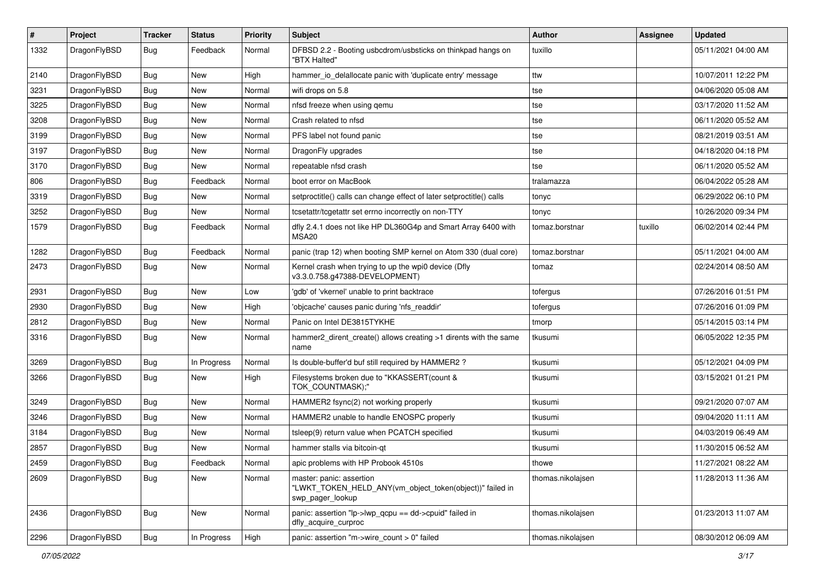| $\sharp$ | Project      | <b>Tracker</b> | <b>Status</b> | <b>Priority</b> | Subject                                                                                                  | Author            | Assignee | <b>Updated</b>      |
|----------|--------------|----------------|---------------|-----------------|----------------------------------------------------------------------------------------------------------|-------------------|----------|---------------------|
| 1332     | DragonFlyBSD | Bug            | Feedback      | Normal          | DFBSD 2.2 - Booting usbcdrom/usbsticks on thinkpad hangs on<br>"BTX Halted"                              | tuxillo           |          | 05/11/2021 04:00 AM |
| 2140     | DragonFlyBSD | Bug            | <b>New</b>    | High            | hammer io delallocate panic with 'duplicate entry' message                                               | ttw               |          | 10/07/2011 12:22 PM |
| 3231     | DragonFlyBSD | <b>Bug</b>     | New           | Normal          | wifi drops on 5.8                                                                                        | tse               |          | 04/06/2020 05:08 AM |
| 3225     | DragonFlyBSD | Bug            | <b>New</b>    | Normal          | nfsd freeze when using qemu                                                                              | tse               |          | 03/17/2020 11:52 AM |
| 3208     | DragonFlyBSD | <b>Bug</b>     | <b>New</b>    | Normal          | Crash related to nfsd                                                                                    | tse               |          | 06/11/2020 05:52 AM |
| 3199     | DragonFlyBSD | <b>Bug</b>     | <b>New</b>    | Normal          | PFS label not found panic                                                                                | tse               |          | 08/21/2019 03:51 AM |
| 3197     | DragonFlyBSD | <b>Bug</b>     | New           | Normal          | DragonFly upgrades                                                                                       | tse               |          | 04/18/2020 04:18 PM |
| 3170     | DragonFlyBSD | <b>Bug</b>     | New           | Normal          | repeatable nfsd crash                                                                                    | tse               |          | 06/11/2020 05:52 AM |
| 806      | DragonFlyBSD | <b>Bug</b>     | Feedback      | Normal          | boot error on MacBook                                                                                    | tralamazza        |          | 06/04/2022 05:28 AM |
| 3319     | DragonFlyBSD | <b>Bug</b>     | New           | Normal          | setproctitle() calls can change effect of later setproctitle() calls                                     | tonyc             |          | 06/29/2022 06:10 PM |
| 3252     | DragonFlyBSD | <b>Bug</b>     | New           | Normal          | tcsetattr/tcgetattr set errno incorrectly on non-TTY                                                     | tonyc             |          | 10/26/2020 09:34 PM |
| 1579     | DragonFlyBSD | <b>Bug</b>     | Feedback      | Normal          | dfly 2.4.1 does not like HP DL360G4p and Smart Array 6400 with<br>MSA20                                  | tomaz.borstnar    | tuxillo  | 06/02/2014 02:44 PM |
| 1282     | DragonFlyBSD | <b>Bug</b>     | Feedback      | Normal          | panic (trap 12) when booting SMP kernel on Atom 330 (dual core)                                          | tomaz.borstnar    |          | 05/11/2021 04:00 AM |
| 2473     | DragonFlyBSD | Bug            | <b>New</b>    | Normal          | Kernel crash when trying to up the wpi0 device (Dfly<br>v3.3.0.758.g47388-DEVELOPMENT)                   | tomaz             |          | 02/24/2014 08:50 AM |
| 2931     | DragonFlyBSD | <b>Bug</b>     | <b>New</b>    | Low             | 'gdb' of 'vkernel' unable to print backtrace                                                             | tofergus          |          | 07/26/2016 01:51 PM |
| 2930     | DragonFlyBSD | <b>Bug</b>     | New           | High            | 'objcache' causes panic during 'nfs_readdir'                                                             | tofergus          |          | 07/26/2016 01:09 PM |
| 2812     | DragonFlyBSD | <b>Bug</b>     | <b>New</b>    | Normal          | Panic on Intel DE3815TYKHE                                                                               | tmorp             |          | 05/14/2015 03:14 PM |
| 3316     | DragonFlyBSD | <b>Bug</b>     | New           | Normal          | hammer2_dirent_create() allows creating >1 dirents with the same<br>name                                 | tkusumi           |          | 06/05/2022 12:35 PM |
| 3269     | DragonFlyBSD | <b>Bug</b>     | In Progress   | Normal          | Is double-buffer'd buf still required by HAMMER2 ?                                                       | tkusumi           |          | 05/12/2021 04:09 PM |
| 3266     | DragonFlyBSD | Bug            | New           | High            | Filesystems broken due to "KKASSERT(count &<br>TOK_COUNTMASK);"                                          | tkusumi           |          | 03/15/2021 01:21 PM |
| 3249     | DragonFlyBSD | <b>Bug</b>     | <b>New</b>    | Normal          | HAMMER2 fsync(2) not working properly                                                                    | tkusumi           |          | 09/21/2020 07:07 AM |
| 3246     | DragonFlyBSD | Bug            | New           | Normal          | HAMMER2 unable to handle ENOSPC properly                                                                 | tkusumi           |          | 09/04/2020 11:11 AM |
| 3184     | DragonFlyBSD | <b>Bug</b>     | <b>New</b>    | Normal          | tsleep(9) return value when PCATCH specified                                                             | tkusumi           |          | 04/03/2019 06:49 AM |
| 2857     | DragonFlyBSD | <b>Bug</b>     | <b>New</b>    | Normal          | hammer stalls via bitcoin-qt                                                                             | tkusumi           |          | 11/30/2015 06:52 AM |
| 2459     | DragonFlyBSD | <b>Bug</b>     | Feedback      | Normal          | apic problems with HP Probook 4510s                                                                      | thowe             |          | 11/27/2021 08:22 AM |
| 2609     | DragonFlyBSD | Bug            | New           | Normal          | master: panic: assertion<br>"LWKT_TOKEN_HELD_ANY(vm_object_token(object))" failed in<br>swp_pager_lookup | thomas.nikolaisen |          | 11/28/2013 11:36 AM |
| 2436     | DragonFlyBSD | <b>Bug</b>     | New           | Normal          | panic: assertion "lp->lwp_qcpu == dd->cpuid" failed in<br>dfly_acquire_curproc                           | thomas.nikolajsen |          | 01/23/2013 11:07 AM |
| 2296     | DragonFlyBSD | Bug            | In Progress   | High            | panic: assertion "m->wire_count > 0" failed                                                              | thomas.nikolajsen |          | 08/30/2012 06:09 AM |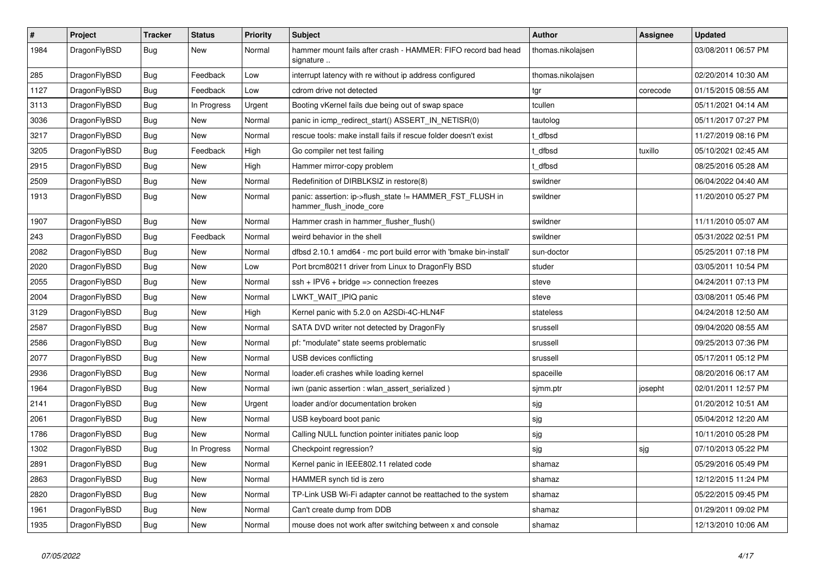| $\vert$ # | <b>Project</b> | <b>Tracker</b> | <b>Status</b> | <b>Priority</b> | <b>Subject</b>                                                                      | <b>Author</b>     | <b>Assignee</b> | <b>Updated</b>      |
|-----------|----------------|----------------|---------------|-----------------|-------------------------------------------------------------------------------------|-------------------|-----------------|---------------------|
| 1984      | DragonFlyBSD   | Bug            | New           | Normal          | hammer mount fails after crash - HAMMER: FIFO record bad head<br>signature          | thomas.nikolajsen |                 | 03/08/2011 06:57 PM |
| 285       | DragonFlyBSD   | <b>Bug</b>     | Feedback      | Low             | interrupt latency with re without ip address configured                             | thomas.nikolajsen |                 | 02/20/2014 10:30 AM |
| 1127      | DragonFlyBSD   | <b>Bug</b>     | Feedback      | Low             | cdrom drive not detected                                                            | tgr               | corecode        | 01/15/2015 08:55 AM |
| 3113      | DragonFlyBSD   | <b>Bug</b>     | In Progress   | Urgent          | Booting vKernel fails due being out of swap space                                   | tcullen           |                 | 05/11/2021 04:14 AM |
| 3036      | DragonFlyBSD   | <b>Bug</b>     | <b>New</b>    | Normal          | panic in icmp_redirect_start() ASSERT_IN_NETISR(0)                                  | tautolog          |                 | 05/11/2017 07:27 PM |
| 3217      | DragonFlyBSD   | <b>Bug</b>     | <b>New</b>    | Normal          | rescue tools: make install fails if rescue folder doesn't exist                     | : dfbsd           |                 | 11/27/2019 08:16 PM |
| 3205      | DragonFlyBSD   | <b>Bug</b>     | Feedback      | High            | Go compiler net test failing                                                        | t dfbsd           | tuxillo         | 05/10/2021 02:45 AM |
| 2915      | DragonFlyBSD   | <b>Bug</b>     | <b>New</b>    | High            | Hammer mirror-copy problem                                                          | : dfbsd           |                 | 08/25/2016 05:28 AM |
| 2509      | DragonFlyBSD   | <b>Bug</b>     | <b>New</b>    | Normal          | Redefinition of DIRBLKSIZ in restore(8)                                             | swildner          |                 | 06/04/2022 04:40 AM |
| 1913      | DragonFlyBSD   | <b>Bug</b>     | <b>New</b>    | Normal          | panic: assertion: ip->flush_state != HAMMER_FST_FLUSH in<br>hammer flush inode core | swildner          |                 | 11/20/2010 05:27 PM |
| 1907      | DragonFlyBSD   | <b>Bug</b>     | <b>New</b>    | Normal          | Hammer crash in hammer_flusher_flush()                                              | swildner          |                 | 11/11/2010 05:07 AM |
| 243       | DragonFlyBSD   | Bug            | Feedback      | Normal          | weird behavior in the shell                                                         | swildner          |                 | 05/31/2022 02:51 PM |
| 2082      | DragonFlyBSD   | Bug            | <b>New</b>    | Normal          | dfbsd 2.10.1 amd64 - mc port build error with 'bmake bin-install'                   | sun-doctor        |                 | 05/25/2011 07:18 PM |
| 2020      | DragonFlyBSD   | Bug            | <b>New</b>    | Low             | Port brcm80211 driver from Linux to DragonFly BSD                                   | studer            |                 | 03/05/2011 10:54 PM |
| 2055      | DragonFlyBSD   | <b>Bug</b>     | <b>New</b>    | Normal          | $ssh + IPV6 + bridge \Rightarrow connection freezes$                                | steve             |                 | 04/24/2011 07:13 PM |
| 2004      | DragonFlyBSD   | <b>Bug</b>     | New           | Normal          | LWKT_WAIT_IPIQ panic                                                                | steve             |                 | 03/08/2011 05:46 PM |
| 3129      | DragonFlyBSD   | <b>Bug</b>     | <b>New</b>    | High            | Kernel panic with 5.2.0 on A2SDi-4C-HLN4F                                           | stateless         |                 | 04/24/2018 12:50 AM |
| 2587      | DragonFlyBSD   | <b>Bug</b>     | <b>New</b>    | Normal          | SATA DVD writer not detected by DragonFly                                           | srussell          |                 | 09/04/2020 08:55 AM |
| 2586      | DragonFlyBSD   | <b>Bug</b>     | <b>New</b>    | Normal          | pf: "modulate" state seems problematic                                              | srussell          |                 | 09/25/2013 07:36 PM |
| 2077      | DragonFlyBSD   | Bug            | New           | Normal          | USB devices conflicting                                                             | srussell          |                 | 05/17/2011 05:12 PM |
| 2936      | DragonFlyBSD   | Bug            | <b>New</b>    | Normal          | loader.efi crashes while loading kernel                                             | spaceille         |                 | 08/20/2016 06:17 AM |
| 1964      | DragonFlyBSD   | <b>Bug</b>     | New           | Normal          | iwn (panic assertion : wlan assert serialized)                                      | sjmm.ptr          | josepht         | 02/01/2011 12:57 PM |
| 2141      | DragonFlyBSD   | <b>Bug</b>     | <b>New</b>    | Urgent          | loader and/or documentation broken                                                  | sjg               |                 | 01/20/2012 10:51 AM |
| 2061      | DragonFlyBSD   | <b>Bug</b>     | New           | Normal          | USB keyboard boot panic                                                             | sjg               |                 | 05/04/2012 12:20 AM |
| 1786      | DragonFlyBSD   | <b>Bug</b>     | New           | Normal          | Calling NULL function pointer initiates panic loop                                  | sjg               |                 | 10/11/2010 05:28 PM |
| 1302      | DragonFlyBSD   | <b>Bug</b>     | In Progress   | Normal          | Checkpoint regression?                                                              | sjg               | sjg             | 07/10/2013 05:22 PM |
| 2891      | DragonFlyBSD   | Bug            | New           | Normal          | Kernel panic in IEEE802.11 related code                                             | shamaz            |                 | 05/29/2016 05:49 PM |
| 2863      | DragonFlyBSD   | Bug            | New           | Normal          | HAMMER synch tid is zero                                                            | shamaz            |                 | 12/12/2015 11:24 PM |
| 2820      | DragonFlyBSD   | Bug            | New           | Normal          | TP-Link USB Wi-Fi adapter cannot be reattached to the system                        | shamaz            |                 | 05/22/2015 09:45 PM |
| 1961      | DragonFlyBSD   | Bug            | New           | Normal          | Can't create dump from DDB                                                          | shamaz            |                 | 01/29/2011 09:02 PM |
| 1935      | DragonFlyBSD   | Bug            | <b>New</b>    | Normal          | mouse does not work after switching between x and console                           | shamaz            |                 | 12/13/2010 10:06 AM |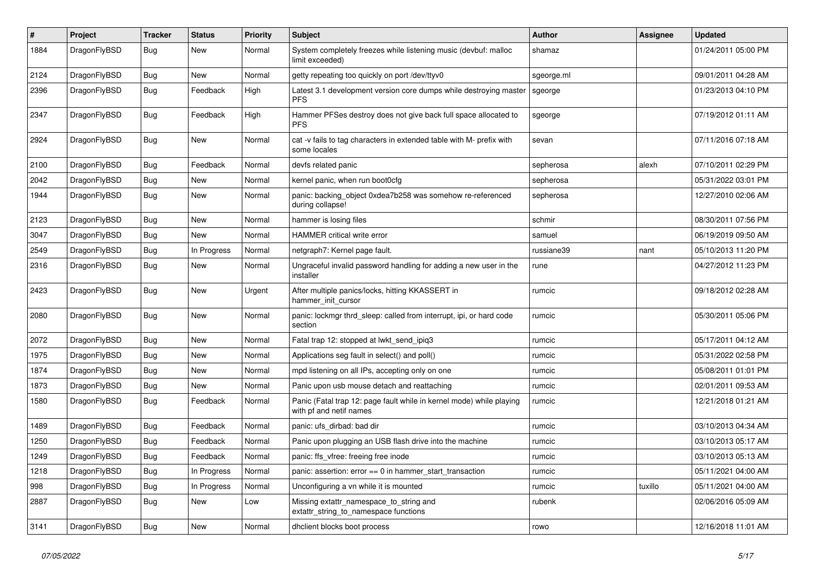| $\vert$ # | Project      | <b>Tracker</b> | <b>Status</b> | <b>Priority</b> | <b>Subject</b>                                                                                  | <b>Author</b> | Assignee | <b>Updated</b>      |
|-----------|--------------|----------------|---------------|-----------------|-------------------------------------------------------------------------------------------------|---------------|----------|---------------------|
| 1884      | DragonFlyBSD | <b>Bug</b>     | <b>New</b>    | Normal          | System completely freezes while listening music (devbuf: malloc<br>limit exceeded)              | shamaz        |          | 01/24/2011 05:00 PM |
| 2124      | DragonFlyBSD | <b>Bug</b>     | <b>New</b>    | Normal          | getty repeating too quickly on port /dev/ttyv0                                                  | sgeorge.ml    |          | 09/01/2011 04:28 AM |
| 2396      | DragonFlyBSD | <b>Bug</b>     | Feedback      | High            | Latest 3.1 development version core dumps while destroying master<br><b>PFS</b>                 | sgeorge       |          | 01/23/2013 04:10 PM |
| 2347      | DragonFlyBSD | Bug            | Feedback      | High            | Hammer PFSes destroy does not give back full space allocated to<br><b>PFS</b>                   | sgeorge       |          | 07/19/2012 01:11 AM |
| 2924      | DragonFlyBSD | <b>Bug</b>     | New           | Normal          | cat -v fails to tag characters in extended table with M- prefix with<br>some locales            | sevan         |          | 07/11/2016 07:18 AM |
| 2100      | DragonFlyBSD | Bug            | Feedback      | Normal          | devfs related panic                                                                             | sepherosa     | alexh    | 07/10/2011 02:29 PM |
| 2042      | DragonFlyBSD | <b>Bug</b>     | <b>New</b>    | Normal          | kernel panic, when run boot0cfg                                                                 | sepherosa     |          | 05/31/2022 03:01 PM |
| 1944      | DragonFlyBSD | <b>Bug</b>     | <b>New</b>    | Normal          | panic: backing object 0xdea7b258 was somehow re-referenced<br>during collapse!                  | sepherosa     |          | 12/27/2010 02:06 AM |
| 2123      | DragonFlyBSD | <b>Bug</b>     | New           | Normal          | hammer is losing files                                                                          | schmir        |          | 08/30/2011 07:56 PM |
| 3047      | DragonFlyBSD | Bug            | New           | Normal          | <b>HAMMER critical write error</b>                                                              | samuel        |          | 06/19/2019 09:50 AM |
| 2549      | DragonFlyBSD | Bug            | In Progress   | Normal          | netgraph7: Kernel page fault.                                                                   | russiane39    | nant     | 05/10/2013 11:20 PM |
| 2316      | DragonFlyBSD | Bug            | New           | Normal          | Ungraceful invalid password handling for adding a new user in the<br>installer                  | rune          |          | 04/27/2012 11:23 PM |
| 2423      | DragonFlyBSD | <b>Bug</b>     | <b>New</b>    | Urgent          | After multiple panics/locks, hitting KKASSERT in<br>hammer init cursor                          | rumcic        |          | 09/18/2012 02:28 AM |
| 2080      | DragonFlyBSD | <b>Bug</b>     | <b>New</b>    | Normal          | panic: lockmgr thrd_sleep: called from interrupt, ipi, or hard code<br>section                  | rumcic        |          | 05/30/2011 05:06 PM |
| 2072      | DragonFlyBSD | Bug            | <b>New</b>    | Normal          | Fatal trap 12: stopped at lwkt send ipig3                                                       | rumcic        |          | 05/17/2011 04:12 AM |
| 1975      | DragonFlyBSD | Bug            | New           | Normal          | Applications seg fault in select() and poll()                                                   | rumcic        |          | 05/31/2022 02:58 PM |
| 1874      | DragonFlyBSD | Bug            | New           | Normal          | mpd listening on all IPs, accepting only on one                                                 | rumcic        |          | 05/08/2011 01:01 PM |
| 1873      | DragonFlyBSD | Bug            | New           | Normal          | Panic upon usb mouse detach and reattaching                                                     | rumcic        |          | 02/01/2011 09:53 AM |
| 1580      | DragonFlyBSD | <b>Bug</b>     | Feedback      | Normal          | Panic (Fatal trap 12: page fault while in kernel mode) while playing<br>with pf and netif names | rumcic        |          | 12/21/2018 01:21 AM |
| 1489      | DragonFlyBSD | <b>Bug</b>     | Feedback      | Normal          | panic: ufs dirbad: bad dir                                                                      | rumcic        |          | 03/10/2013 04:34 AM |
| 1250      | DragonFlyBSD | Bug            | Feedback      | Normal          | Panic upon plugging an USB flash drive into the machine                                         | rumcic        |          | 03/10/2013 05:17 AM |
| 1249      | DragonFlyBSD | <b>Bug</b>     | Feedback      | Normal          | panic: ffs_vfree: freeing free inode                                                            | rumcic        |          | 03/10/2013 05:13 AM |
| 1218      | DragonFlyBSD | Bug            | In Progress   | Normal          | panic: assertion: $error == 0$ in hammer_start_transaction                                      | rumcic        |          | 05/11/2021 04:00 AM |
| 998       | DragonFlyBSD | <b>Bug</b>     | In Progress   | Normal          | Unconfiguring a vn while it is mounted                                                          | rumcic        | tuxillo  | 05/11/2021 04:00 AM |
| 2887      | DragonFlyBSD | <b>Bug</b>     | New           | Low             | Missing extattr namespace to string and<br>extattr string to namespace functions                | rubenk        |          | 02/06/2016 05:09 AM |
| 3141      | DragonFlyBSD | Bug            | <b>New</b>    | Normal          | dhclient blocks boot process                                                                    | rowo          |          | 12/16/2018 11:01 AM |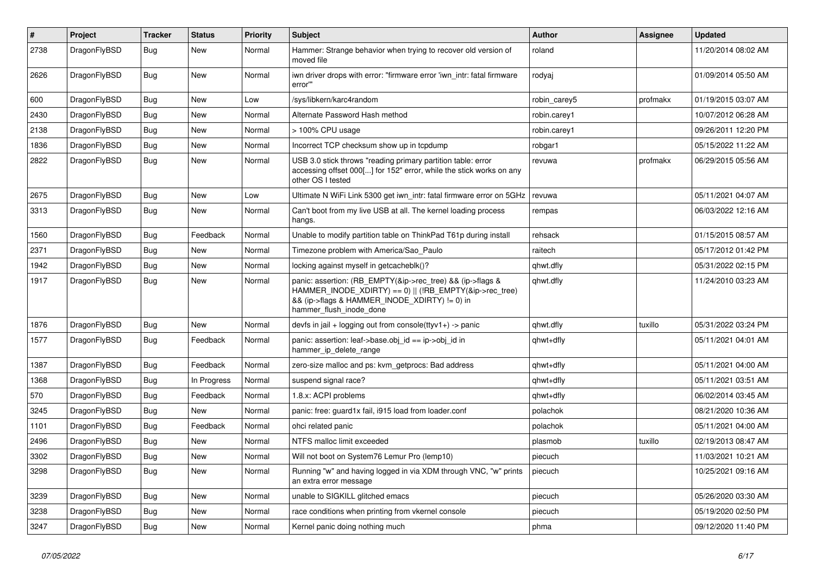| $\sharp$ | Project      | <b>Tracker</b> | <b>Status</b> | <b>Priority</b> | Subject                                                                                                                                                                                           | <b>Author</b> | Assignee | <b>Updated</b>      |
|----------|--------------|----------------|---------------|-----------------|---------------------------------------------------------------------------------------------------------------------------------------------------------------------------------------------------|---------------|----------|---------------------|
| 2738     | DragonFlyBSD | Bug            | <b>New</b>    | Normal          | Hammer: Strange behavior when trying to recover old version of<br>moved file                                                                                                                      | roland        |          | 11/20/2014 08:02 AM |
| 2626     | DragonFlyBSD | Bug            | <b>New</b>    | Normal          | iwn driver drops with error: "firmware error 'iwn intr: fatal firmware<br>error""                                                                                                                 | rodyaj        |          | 01/09/2014 05:50 AM |
| 600      | DragonFlyBSD | Bug            | <b>New</b>    | Low             | /sys/libkern/karc4random                                                                                                                                                                          | robin carey5  | profmakx | 01/19/2015 03:07 AM |
| 2430     | DragonFlyBSD | <b>Bug</b>     | New           | Normal          | Alternate Password Hash method                                                                                                                                                                    | robin.carey1  |          | 10/07/2012 06:28 AM |
| 2138     | DragonFlyBSD | <b>Bug</b>     | <b>New</b>    | Normal          | > 100% CPU usage                                                                                                                                                                                  | robin.carey1  |          | 09/26/2011 12:20 PM |
| 1836     | DragonFlyBSD | Bug            | <b>New</b>    | Normal          | Incorrect TCP checksum show up in tcpdump                                                                                                                                                         | robgar1       |          | 05/15/2022 11:22 AM |
| 2822     | DragonFlyBSD | Bug            | New           | Normal          | USB 3.0 stick throws "reading primary partition table: error<br>accessing offset 000[] for 152" error, while the stick works on any<br>other OS I tested                                          | revuwa        | profmakx | 06/29/2015 05:56 AM |
| 2675     | DragonFlyBSD | Bug            | <b>New</b>    | Low             | Ultimate N WiFi Link 5300 get iwn_intr: fatal firmware error on 5GHz                                                                                                                              | revuwa        |          | 05/11/2021 04:07 AM |
| 3313     | DragonFlyBSD | Bug            | <b>New</b>    | Normal          | Can't boot from my live USB at all. The kernel loading process<br>hangs.                                                                                                                          | rempas        |          | 06/03/2022 12:16 AM |
| 1560     | DragonFlyBSD | Bug            | Feedback      | Normal          | Unable to modify partition table on ThinkPad T61p during install                                                                                                                                  | rehsack       |          | 01/15/2015 08:57 AM |
| 2371     | DragonFlyBSD | <b>Bug</b>     | New           | Normal          | Timezone problem with America/Sao Paulo                                                                                                                                                           | raitech       |          | 05/17/2012 01:42 PM |
| 1942     | DragonFlyBSD | <b>Bug</b>     | New           | Normal          | locking against myself in getcacheblk()?                                                                                                                                                          | qhwt.dfly     |          | 05/31/2022 02:15 PM |
| 1917     | DragonFlyBSD | <b>Bug</b>     | New           | Normal          | panic: assertion: (RB EMPTY(&ip->rec tree) && (ip->flags &<br>HAMMER_INODE_XDIRTY) == 0)    (!RB_EMPTY(&ip->rec_tree)<br>&& (ip->flags & HAMMER_INODE_XDIRTY) != 0) in<br>hammer_flush_inode_done | qhwt.dfly     |          | 11/24/2010 03:23 AM |
| 1876     | DragonFlyBSD | <b>Bug</b>     | New           | Normal          | devfs in $ ail + logging$ out from console(ttyv1+) -> panic                                                                                                                                       | qhwt.dfly     | tuxillo  | 05/31/2022 03:24 PM |
| 1577     | DragonFlyBSD | Bug            | Feedback      | Normal          | panic: assertion: leaf->base.obj id == ip->obj id in<br>hammer_ip_delete_range                                                                                                                    | qhwt+dfly     |          | 05/11/2021 04:01 AM |
| 1387     | DragonFlyBSD | Bug            | Feedback      | Normal          | zero-size malloc and ps: kvm getprocs: Bad address                                                                                                                                                | qhwt+dfly     |          | 05/11/2021 04:00 AM |
| 1368     | DragonFlyBSD | <b>Bug</b>     | In Progress   | Normal          | suspend signal race?                                                                                                                                                                              | qhwt+dfly     |          | 05/11/2021 03:51 AM |
| 570      | DragonFlyBSD | <b>Bug</b>     | Feedback      | Normal          | 1.8.x: ACPI problems                                                                                                                                                                              | qhwt+dfly     |          | 06/02/2014 03:45 AM |
| 3245     | DragonFlyBSD | <b>Bug</b>     | <b>New</b>    | Normal          | panic: free: guard1x fail, i915 load from loader.conf                                                                                                                                             | polachok      |          | 08/21/2020 10:36 AM |
| 1101     | DragonFlyBSD | Bug            | Feedback      | Normal          | ohci related panic                                                                                                                                                                                | polachok      |          | 05/11/2021 04:00 AM |
| 2496     | DragonFlyBSD | Bug            | <b>New</b>    | Normal          | NTFS malloc limit exceeded                                                                                                                                                                        | plasmob       | tuxillo  | 02/19/2013 08:47 AM |
| 3302     | DragonFlyBSD | Bug            | <b>New</b>    | Normal          | Will not boot on System76 Lemur Pro (lemp10)                                                                                                                                                      | piecuch       |          | 11/03/2021 10:21 AM |
| 3298     | DragonFlyBSD | Bug            | New           | Normal          | Running "w" and having logged in via XDM through VNC, "w" prints<br>an extra error message                                                                                                        | piecuch       |          | 10/25/2021 09:16 AM |
| 3239     | DragonFlyBSD | Bug            | New           | Normal          | unable to SIGKILL glitched emacs                                                                                                                                                                  | piecuch       |          | 05/26/2020 03:30 AM |
| 3238     | DragonFlyBSD | <b>Bug</b>     | New           | Normal          | race conditions when printing from vkernel console                                                                                                                                                | piecuch       |          | 05/19/2020 02:50 PM |
| 3247     | DragonFlyBSD | <b>Bug</b>     | New           | Normal          | Kernel panic doing nothing much                                                                                                                                                                   | phma          |          | 09/12/2020 11:40 PM |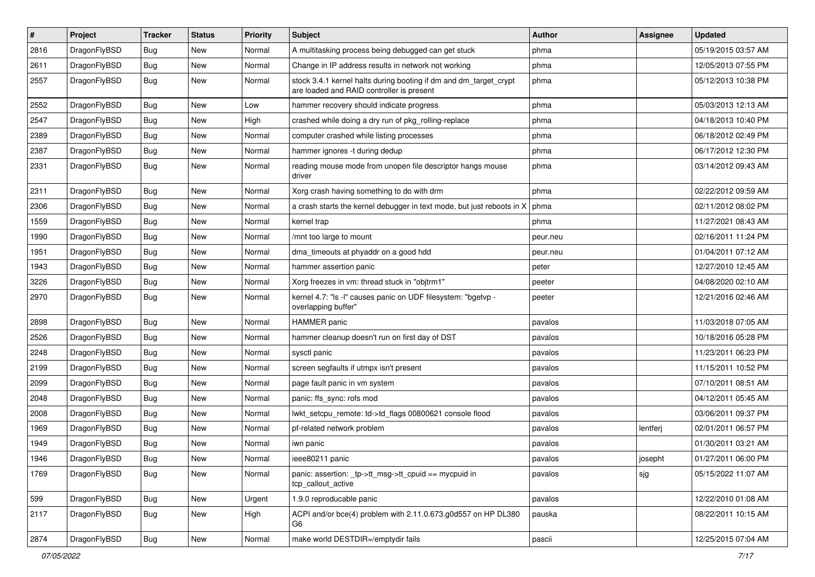| $\pmb{\#}$ | Project      | <b>Tracker</b> | <b>Status</b> | <b>Priority</b> | Subject                                                                                                        | <b>Author</b> | Assignee | <b>Updated</b>      |
|------------|--------------|----------------|---------------|-----------------|----------------------------------------------------------------------------------------------------------------|---------------|----------|---------------------|
| 2816       | DragonFlyBSD | Bug            | New           | Normal          | A multitasking process being debugged can get stuck                                                            | phma          |          | 05/19/2015 03:57 AM |
| 2611       | DragonFlyBSD | Bug            | <b>New</b>    | Normal          | Change in IP address results in network not working                                                            | phma          |          | 12/05/2013 07:55 PM |
| 2557       | DragonFlyBSD | <b>Bug</b>     | New           | Normal          | stock 3.4.1 kernel halts during booting if dm and dm_target_crypt<br>are loaded and RAID controller is present | phma          |          | 05/12/2013 10:38 PM |
| 2552       | DragonFlyBSD | Bug            | <b>New</b>    | Low             | hammer recovery should indicate progress                                                                       | phma          |          | 05/03/2013 12:13 AM |
| 2547       | DragonFlyBSD | <b>Bug</b>     | New           | High            | crashed while doing a dry run of pkg rolling-replace                                                           | phma          |          | 04/18/2013 10:40 PM |
| 2389       | DragonFlyBSD | Bug            | <b>New</b>    | Normal          | computer crashed while listing processes                                                                       | phma          |          | 06/18/2012 02:49 PM |
| 2387       | DragonFlyBSD | Bug            | New           | Normal          | hammer ignores -t during dedup                                                                                 | phma          |          | 06/17/2012 12:30 PM |
| 2331       | DragonFlyBSD | Bug            | New           | Normal          | reading mouse mode from unopen file descriptor hangs mouse<br>driver                                           | phma          |          | 03/14/2012 09:43 AM |
| 2311       | DragonFlyBSD | <b>Bug</b>     | <b>New</b>    | Normal          | Xorg crash having something to do with drm                                                                     | phma          |          | 02/22/2012 09:59 AM |
| 2306       | DragonFlyBSD | Bug            | New           | Normal          | a crash starts the kernel debugger in text mode, but just reboots in X                                         | phma          |          | 02/11/2012 08:02 PM |
| 1559       | DragonFlyBSD | <b>Bug</b>     | <b>New</b>    | Normal          | kernel trap                                                                                                    | phma          |          | 11/27/2021 08:43 AM |
| 1990       | DragonFlyBSD | Bug            | <b>New</b>    | Normal          | /mnt too large to mount                                                                                        | peur.neu      |          | 02/16/2011 11:24 PM |
| 1951       | DragonFlyBSD | Bug            | <b>New</b>    | Normal          | dma_timeouts at phyaddr on a good hdd                                                                          | peur.neu      |          | 01/04/2011 07:12 AM |
| 1943       | DragonFlyBSD | Bug            | New           | Normal          | hammer assertion panic                                                                                         | peter         |          | 12/27/2010 12:45 AM |
| 3226       | DragonFlyBSD | Bug            | New           | Normal          | Xorg freezes in vm: thread stuck in "objtrm1"                                                                  | peeter        |          | 04/08/2020 02:10 AM |
| 2970       | DragonFlyBSD | Bug            | New           | Normal          | kernel 4.7: "Is -I" causes panic on UDF filesystem: "bgetvp -<br>overlapping buffer"                           | peeter        |          | 12/21/2016 02:46 AM |
| 2898       | DragonFlyBSD | Bug            | <b>New</b>    | Normal          | <b>HAMMER</b> panic                                                                                            | pavalos       |          | 11/03/2018 07:05 AM |
| 2526       | DragonFlyBSD | Bug            | <b>New</b>    | Normal          | hammer cleanup doesn't run on first day of DST                                                                 | pavalos       |          | 10/18/2016 05:28 PM |
| 2248       | DragonFlyBSD | Bug            | New           | Normal          | sysctl panic                                                                                                   | pavalos       |          | 11/23/2011 06:23 PM |
| 2199       | DragonFlyBSD | Bug            | <b>New</b>    | Normal          | screen segfaults if utmpx isn't present                                                                        | pavalos       |          | 11/15/2011 10:52 PM |
| 2099       | DragonFlyBSD | Bug            | <b>New</b>    | Normal          | page fault panic in vm system                                                                                  | pavalos       |          | 07/10/2011 08:51 AM |
| 2048       | DragonFlyBSD | Bug            | <b>New</b>    | Normal          | panic: ffs_sync: rofs mod                                                                                      | pavalos       |          | 04/12/2011 05:45 AM |
| 2008       | DragonFlyBSD | Bug            | <b>New</b>    | Normal          | lwkt_setcpu_remote: td->td_flags 00800621 console flood                                                        | pavalos       |          | 03/06/2011 09:37 PM |
| 1969       | DragonFlyBSD | Bug            | New           | Normal          | pf-related network problem                                                                                     | pavalos       | lentferj | 02/01/2011 06:57 PM |
| 1949       | DragonFlyBSD | Bug            | New           | Normal          | iwn panic                                                                                                      | pavalos       |          | 01/30/2011 03:21 AM |
| 1946       | DragonFlyBSD | Bug            | <b>New</b>    | Normal          | ieee80211 panic                                                                                                | pavalos       | josepht  | 01/27/2011 06:00 PM |
| 1769       | DragonFlyBSD | Bug            | New           | Normal          | panic: assertion: _tp->tt_msg->tt_cpuid == mycpuid in<br>tcp callout active                                    | pavalos       | sjg      | 05/15/2022 11:07 AM |
| 599        | DragonFlyBSD | <b>Bug</b>     | New           | Urgent          | 1.9.0 reproducable panic                                                                                       | pavalos       |          | 12/22/2010 01:08 AM |
| 2117       | DragonFlyBSD | Bug            | New           | High            | ACPI and/or bce(4) problem with 2.11.0.673.g0d557 on HP DL380<br>G6                                            | pauska        |          | 08/22/2011 10:15 AM |
| 2874       | DragonFlyBSD | <b>Bug</b>     | New           | Normal          | make world DESTDIR=/emptydir fails                                                                             | pascii        |          | 12/25/2015 07:04 AM |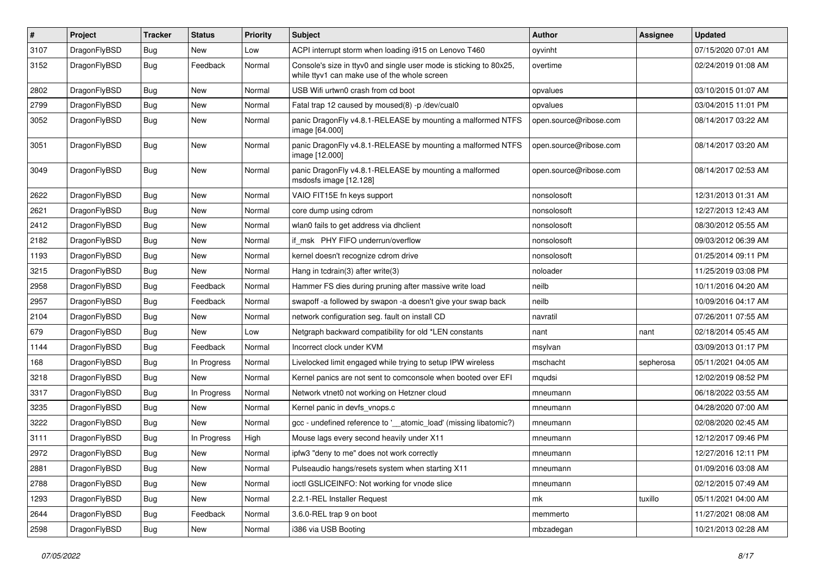| $\pmb{\#}$ | Project      | <b>Tracker</b> | <b>Status</b> | <b>Priority</b> | Subject                                                                                                            | <b>Author</b>          | Assignee  | <b>Updated</b>      |
|------------|--------------|----------------|---------------|-----------------|--------------------------------------------------------------------------------------------------------------------|------------------------|-----------|---------------------|
| 3107       | DragonFlyBSD | Bug            | New           | Low             | ACPI interrupt storm when loading i915 on Lenovo T460                                                              | oyvinht                |           | 07/15/2020 07:01 AM |
| 3152       | DragonFlyBSD | Bug            | Feedback      | Normal          | Console's size in ttyv0 and single user mode is sticking to 80x25,<br>while ttyv1 can make use of the whole screen | overtime               |           | 02/24/2019 01:08 AM |
| 2802       | DragonFlyBSD | Bug            | <b>New</b>    | Normal          | USB Wifi urtwn0 crash from cd boot                                                                                 | opvalues               |           | 03/10/2015 01:07 AM |
| 2799       | DragonFlyBSD | <b>Bug</b>     | <b>New</b>    | Normal          | Fatal trap 12 caused by moused(8) -p /dev/cual0                                                                    | opvalues               |           | 03/04/2015 11:01 PM |
| 3052       | DragonFlyBSD | Bug            | <b>New</b>    | Normal          | panic DragonFly v4.8.1-RELEASE by mounting a malformed NTFS<br>image [64.000]                                      | open.source@ribose.com |           | 08/14/2017 03:22 AM |
| 3051       | DragonFlyBSD | Bug            | <b>New</b>    | Normal          | panic DragonFly v4.8.1-RELEASE by mounting a malformed NTFS<br>image [12.000]                                      | open.source@ribose.com |           | 08/14/2017 03:20 AM |
| 3049       | DragonFlyBSD | Bug            | <b>New</b>    | Normal          | panic DragonFly v4.8.1-RELEASE by mounting a malformed<br>msdosfs image [12.128]                                   | open.source@ribose.com |           | 08/14/2017 02:53 AM |
| 2622       | DragonFlyBSD | Bug            | <b>New</b>    | Normal          | VAIO FIT15E fn keys support                                                                                        | nonsolosoft            |           | 12/31/2013 01:31 AM |
| 2621       | DragonFlyBSD | Bug            | <b>New</b>    | Normal          | core dump using cdrom                                                                                              | nonsolosoft            |           | 12/27/2013 12:43 AM |
| 2412       | DragonFlyBSD | <b>Bug</b>     | New           | Normal          | wlan0 fails to get address via dhclient                                                                            | nonsolosoft            |           | 08/30/2012 05:55 AM |
| 2182       | DragonFlyBSD | Bug            | New           | Normal          | if msk PHY FIFO underrun/overflow                                                                                  | nonsolosoft            |           | 09/03/2012 06:39 AM |
| 1193       | DragonFlyBSD | Bug            | New           | Normal          | kernel doesn't recognize cdrom drive                                                                               | nonsolosoft            |           | 01/25/2014 09:11 PM |
| 3215       | DragonFlyBSD | Bug            | New           | Normal          | Hang in tcdrain(3) after write(3)                                                                                  | noloader               |           | 11/25/2019 03:08 PM |
| 2958       | DragonFlyBSD | Bug            | Feedback      | Normal          | Hammer FS dies during pruning after massive write load                                                             | neilb                  |           | 10/11/2016 04:20 AM |
| 2957       | DragonFlyBSD | Bug            | Feedback      | Normal          | swapoff -a followed by swapon -a doesn't give your swap back                                                       | neilb                  |           | 10/09/2016 04:17 AM |
| 2104       | DragonFlyBSD | Bug            | New           | Normal          | network configuration seg. fault on install CD                                                                     | navratil               |           | 07/26/2011 07:55 AM |
| 679        | DragonFlyBSD | Bug            | New           | Low             | Netgraph backward compatibility for old *LEN constants                                                             | nant                   | nant      | 02/18/2014 05:45 AM |
| 1144       | DragonFlyBSD | Bug            | Feedback      | Normal          | Incorrect clock under KVM                                                                                          | msylvan                |           | 03/09/2013 01:17 PM |
| 168        | DragonFlyBSD | Bug            | In Progress   | Normal          | Livelocked limit engaged while trying to setup IPW wireless                                                        | mschacht               | sepherosa | 05/11/2021 04:05 AM |
| 3218       | DragonFlyBSD | Bug            | New           | Normal          | Kernel panics are not sent to comconsole when booted over EFI                                                      | mqudsi                 |           | 12/02/2019 08:52 PM |
| 3317       | DragonFlyBSD | Bug            | In Progress   | Normal          | Network vtnet0 not working on Hetzner cloud                                                                        | mneumann               |           | 06/18/2022 03:55 AM |
| 3235       | DragonFlyBSD | Bug            | <b>New</b>    | Normal          | Kernel panic in devfs_vnops.c                                                                                      | mneumann               |           | 04/28/2020 07:00 AM |
| 3222       | DragonFlyBSD | Bug            | New           | Normal          | gcc - undefined reference to '__atomic_load' (missing libatomic?)                                                  | mneumann               |           | 02/08/2020 02:45 AM |
| 3111       | DragonFlyBSD | Bug            | In Progress   | High            | Mouse lags every second heavily under X11                                                                          | mneumann               |           | 12/12/2017 09:46 PM |
| 2972       | DragonFlyBSD | <b>Bug</b>     | New           | Normal          | ipfw3 "deny to me" does not work correctly                                                                         | mneumann               |           | 12/27/2016 12:11 PM |
| 2881       | DragonFlyBSD | <b>Bug</b>     | New           | Normal          | Pulseaudio hangs/resets system when starting X11                                                                   | mneumann               |           | 01/09/2016 03:08 AM |
| 2788       | DragonFlyBSD | Bug            | New           | Normal          | ioctl GSLICEINFO: Not working for vnode slice                                                                      | mneumann               |           | 02/12/2015 07:49 AM |
| 1293       | DragonFlyBSD | <b>Bug</b>     | New           | Normal          | 2.2.1-REL Installer Request                                                                                        | mk                     | tuxillo   | 05/11/2021 04:00 AM |
| 2644       | DragonFlyBSD | <b>Bug</b>     | Feedback      | Normal          | 3.6.0-REL trap 9 on boot                                                                                           | memmerto               |           | 11/27/2021 08:08 AM |
| 2598       | DragonFlyBSD | Bug            | New           | Normal          | i386 via USB Booting                                                                                               | mbzadegan              |           | 10/21/2013 02:28 AM |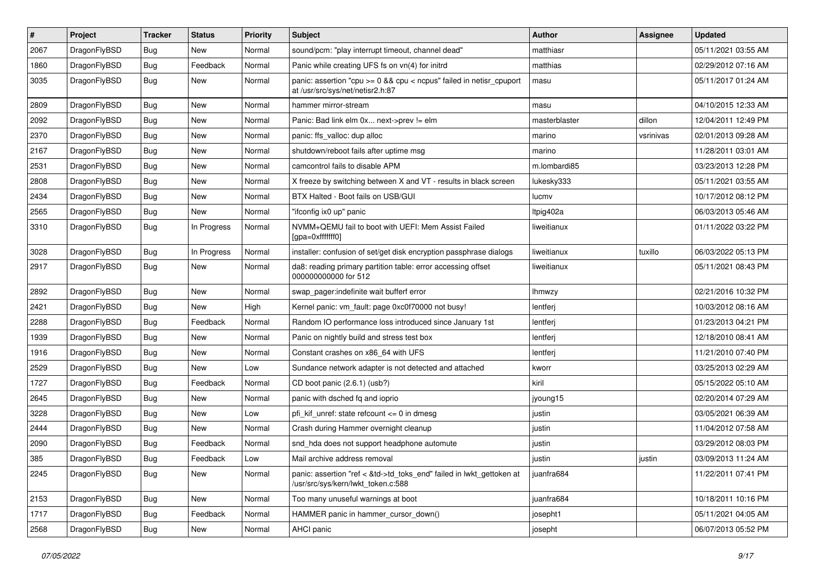| $\sharp$ | Project      | <b>Tracker</b> | <b>Status</b> | <b>Priority</b> | Subject                                                                                                         | <b>Author</b> | Assignee  | <b>Updated</b>      |
|----------|--------------|----------------|---------------|-----------------|-----------------------------------------------------------------------------------------------------------------|---------------|-----------|---------------------|
| 2067     | DragonFlyBSD | Bug            | <b>New</b>    | Normal          | sound/pcm: "play interrupt timeout, channel dead"                                                               | matthiasr     |           | 05/11/2021 03:55 AM |
| 1860     | DragonFlyBSD | Bug            | Feedback      | Normal          | Panic while creating UFS fs on vn(4) for initrd                                                                 | matthias      |           | 02/29/2012 07:16 AM |
| 3035     | DragonFlyBSD | Bug            | New           | Normal          | panic: assertion "cpu $>= 0$ && cpu < ncpus" failed in netisr cpuport<br>at /usr/src/sys/net/netisr2.h:87       | masu          |           | 05/11/2017 01:24 AM |
| 2809     | DragonFlyBSD | Bug            | New           | Normal          | hammer mirror-stream                                                                                            | masu          |           | 04/10/2015 12:33 AM |
| 2092     | DragonFlyBSD | Bug            | New           | Normal          | Panic: Bad link elm 0x next->prev != elm                                                                        | masterblaster | dillon    | 12/04/2011 12:49 PM |
| 2370     | DragonFlyBSD | Bug            | <b>New</b>    | Normal          | panic: ffs_valloc: dup alloc                                                                                    | marino        | vsrinivas | 02/01/2013 09:28 AM |
| 2167     | DragonFlyBSD | Bug            | New           | Normal          | shutdown/reboot fails after uptime msq                                                                          | marino        |           | 11/28/2011 03:01 AM |
| 2531     | DragonFlyBSD | Bug            | New           | Normal          | camcontrol fails to disable APM                                                                                 | m.lombardi85  |           | 03/23/2013 12:28 PM |
| 2808     | DragonFlyBSD | Bug            | <b>New</b>    | Normal          | X freeze by switching between X and VT - results in black screen                                                | lukesky333    |           | 05/11/2021 03:55 AM |
| 2434     | DragonFlyBSD | Bug            | New           | Normal          | BTX Halted - Boot fails on USB/GUI                                                                              | lucmv         |           | 10/17/2012 08:12 PM |
| 2565     | DragonFlyBSD | Bug            | New           | Normal          | "ifconfig ix0 up" panic                                                                                         | Itpig402a     |           | 06/03/2013 05:46 AM |
| 3310     | DragonFlyBSD | Bug            | In Progress   | Normal          | NVMM+QEMU fail to boot with UEFI: Mem Assist Failed<br>[gpa=0xfffffff0]                                         | liweitianux   |           | 01/11/2022 03:22 PM |
| 3028     | DragonFlyBSD | Bug            | In Progress   | Normal          | installer: confusion of set/get disk encryption passphrase dialogs                                              | liweitianux   | tuxillo   | 06/03/2022 05:13 PM |
| 2917     | DragonFlyBSD | Bug            | New           | Normal          | da8: reading primary partition table: error accessing offset<br>000000000000 for 512                            | liweitianux   |           | 05/11/2021 08:43 PM |
| 2892     | DragonFlyBSD | Bug            | <b>New</b>    | Normal          | swap_pager:indefinite wait bufferf error                                                                        | Ihmwzy        |           | 02/21/2016 10:32 PM |
| 2421     | DragonFlyBSD | Bug            | New           | High            | Kernel panic: vm fault: page 0xc0f70000 not busy!                                                               | lentferj      |           | 10/03/2012 08:16 AM |
| 2288     | DragonFlyBSD | Bug            | Feedback      | Normal          | Random IO performance loss introduced since January 1st                                                         | lentferj      |           | 01/23/2013 04:21 PM |
| 1939     | DragonFlyBSD | <b>Bug</b>     | New           | Normal          | Panic on nightly build and stress test box                                                                      | lentferj      |           | 12/18/2010 08:41 AM |
| 1916     | DragonFlyBSD | Bug            | New           | Normal          | Constant crashes on x86_64 with UFS                                                                             | lentferj      |           | 11/21/2010 07:40 PM |
| 2529     | DragonFlyBSD | Bug            | New           | Low             | Sundance network adapter is not detected and attached                                                           | kworr         |           | 03/25/2013 02:29 AM |
| 1727     | DragonFlyBSD | Bug            | Feedback      | Normal          | CD boot panic (2.6.1) (usb?)                                                                                    | kiril         |           | 05/15/2022 05:10 AM |
| 2645     | DragonFlyBSD | Bug            | New           | Normal          | panic with dsched fq and ioprio                                                                                 | jyoung15      |           | 02/20/2014 07:29 AM |
| 3228     | DragonFlyBSD | Bug            | New           | Low             | pfi kif unref: state refcount $\leq$ 0 in dmesg                                                                 | justin        |           | 03/05/2021 06:39 AM |
| 2444     | DragonFlyBSD | Bug            | New           | Normal          | Crash during Hammer overnight cleanup                                                                           | justin        |           | 11/04/2012 07:58 AM |
| 2090     | DragonFlyBSD | Bug            | Feedback      | Normal          | snd_hda does not support headphone automute                                                                     | justin        |           | 03/29/2012 08:03 PM |
| 385      | DragonFlyBSD | Bug            | Feedback      | Low             | Mail archive address removal                                                                                    | justin        | justin    | 03/09/2013 11:24 AM |
| 2245     | DragonFlyBSD | <b>Bug</b>     | New           | Normal          | panic: assertion "ref < &td->td_toks_end" failed in lwkt_gettoken at<br>.<br>/usr/src/sys/kern/lwkt_token.c:588 | juanfra684    |           | 11/22/2011 07:41 PM |
| 2153     | DragonFlyBSD | <b>Bug</b>     | New           | Normal          | Too many unuseful warnings at boot                                                                              | juanfra684    |           | 10/18/2011 10:16 PM |
| 1717     | DragonFlyBSD | <b>Bug</b>     | Feedback      | Normal          | HAMMER panic in hammer_cursor_down()                                                                            | josepht1      |           | 05/11/2021 04:05 AM |
| 2568     | DragonFlyBSD | <b>Bug</b>     | New           | Normal          | AHCI panic                                                                                                      | josepht       |           | 06/07/2013 05:52 PM |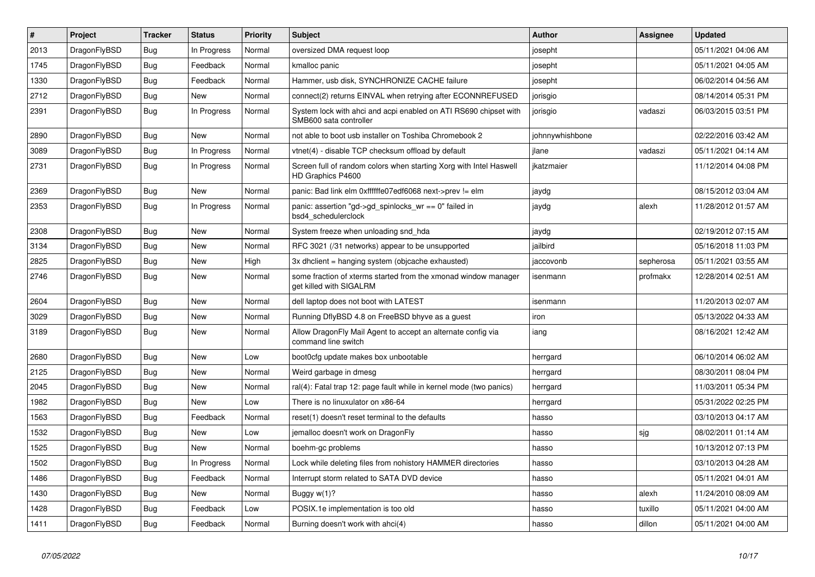| $\vert$ # | <b>Project</b> | <b>Tracker</b> | <b>Status</b> | <b>Priority</b> | <b>Subject</b>                                                                             | <b>Author</b>   | Assignee  | <b>Updated</b>      |
|-----------|----------------|----------------|---------------|-----------------|--------------------------------------------------------------------------------------------|-----------------|-----------|---------------------|
| 2013      | DragonFlyBSD   | Bug            | In Progress   | Normal          | oversized DMA request loop                                                                 | josepht         |           | 05/11/2021 04:06 AM |
| 1745      | DragonFlyBSD   | <b>Bug</b>     | Feedback      | Normal          | kmalloc panic                                                                              | josepht         |           | 05/11/2021 04:05 AM |
| 1330      | DragonFlyBSD   | <b>Bug</b>     | Feedback      | Normal          | Hammer, usb disk, SYNCHRONIZE CACHE failure                                                | josepht         |           | 06/02/2014 04:56 AM |
| 2712      | DragonFlyBSD   | Bug            | New           | Normal          | connect(2) returns EINVAL when retrying after ECONNREFUSED                                 | jorisgio        |           | 08/14/2014 05:31 PM |
| 2391      | DragonFlyBSD   | Bug            | In Progress   | Normal          | System lock with ahci and acpi enabled on ATI RS690 chipset with<br>SMB600 sata controller | jorisgio        | vadaszi   | 06/03/2015 03:51 PM |
| 2890      | DragonFlyBSD   | Bug            | <b>New</b>    | Normal          | not able to boot usb installer on Toshiba Chromebook 2                                     | johnnywhishbone |           | 02/22/2016 03:42 AM |
| 3089      | DragonFlyBSD   | Bug            | In Progress   | Normal          | vtnet(4) - disable TCP checksum offload by default                                         | ilane           | vadaszi   | 05/11/2021 04:14 AM |
| 2731      | DragonFlyBSD   | Bug            | In Progress   | Normal          | Screen full of random colors when starting Xorg with Intel Haswell<br>HD Graphics P4600    | ikatzmaier      |           | 11/12/2014 04:08 PM |
| 2369      | DragonFlyBSD   | <b>Bug</b>     | <b>New</b>    | Normal          | panic: Bad link elm 0xffffffe07edf6068 next->prev != elm                                   | jaydg           |           | 08/15/2012 03:04 AM |
| 2353      | DragonFlyBSD   | Bug            | In Progress   | Normal          | panic: assertion "gd->gd spinlocks $wr == 0$ " failed in<br>bsd4 schedulerclock            | jaydg           | alexh     | 11/28/2012 01:57 AM |
| 2308      | DragonFlyBSD   | <b>Bug</b>     | New           | Normal          | System freeze when unloading snd hda                                                       | jaydg           |           | 02/19/2012 07:15 AM |
| 3134      | DragonFlyBSD   | <b>Bug</b>     | <b>New</b>    | Normal          | RFC 3021 (/31 networks) appear to be unsupported                                           | jailbird        |           | 05/16/2018 11:03 PM |
| 2825      | DragonFlyBSD   | <b>Bug</b>     | <b>New</b>    | High            | 3x dhclient = hanging system (objcache exhausted)                                          | jaccovonb       | sepherosa | 05/11/2021 03:55 AM |
| 2746      | DragonFlyBSD   | <b>Bug</b>     | New           | Normal          | some fraction of xterms started from the xmonad window manager<br>get killed with SIGALRM  | isenmann        | profmakx  | 12/28/2014 02:51 AM |
| 2604      | DragonFlyBSD   | <b>Bug</b>     | <b>New</b>    | Normal          | dell laptop does not boot with LATEST                                                      | isenmann        |           | 11/20/2013 02:07 AM |
| 3029      | DragonFlyBSD   | Bug            | <b>New</b>    | Normal          | Running DflyBSD 4.8 on FreeBSD bhyve as a quest                                            | iron            |           | 05/13/2022 04:33 AM |
| 3189      | DragonFlyBSD   | Bug            | <b>New</b>    | Normal          | Allow DragonFly Mail Agent to accept an alternate config via<br>command line switch        | iang            |           | 08/16/2021 12:42 AM |
| 2680      | DragonFlyBSD   | <b>Bug</b>     | New           | Low             | boot0cfg update makes box unbootable                                                       | herrgard        |           | 06/10/2014 06:02 AM |
| 2125      | DragonFlyBSD   | Bug            | New           | Normal          | Weird garbage in dmesg                                                                     | herrgard        |           | 08/30/2011 08:04 PM |
| 2045      | DragonFlyBSD   | Bug            | New           | Normal          | ral(4): Fatal trap 12: page fault while in kernel mode (two panics)                        | herrgard        |           | 11/03/2011 05:34 PM |
| 1982      | DragonFlyBSD   | <b>Bug</b>     | New           | Low             | There is no linuxulator on x86-64                                                          | herrgard        |           | 05/31/2022 02:25 PM |
| 1563      | DragonFlyBSD   | <b>Bug</b>     | Feedback      | Normal          | reset(1) doesn't reset terminal to the defaults                                            | hasso           |           | 03/10/2013 04:17 AM |
| 1532      | DragonFlyBSD   | Bug            | New           | Low             | jemalloc doesn't work on DragonFly                                                         | hasso           | sjg       | 08/02/2011 01:14 AM |
| 1525      | DragonFlyBSD   | Bug            | New           | Normal          | boehm-gc problems                                                                          | hasso           |           | 10/13/2012 07:13 PM |
| 1502      | DragonFlyBSD   | <b>Bug</b>     | In Progress   | Normal          | Lock while deleting files from nohistory HAMMER directories                                | hasso           |           | 03/10/2013 04:28 AM |
| 1486      | DragonFlyBSD   | <b>Bug</b>     | Feedback      | Normal          | Interrupt storm related to SATA DVD device                                                 | hasso           |           | 05/11/2021 04:01 AM |
| 1430      | DragonFlyBSD   | Bug            | New           | Normal          | Buggy $w(1)$ ?                                                                             | hasso           | alexh     | 11/24/2010 08:09 AM |
| 1428      | DragonFlyBSD   | Bug            | Feedback      | Low             | POSIX.1e implementation is too old                                                         | hasso           | tuxillo   | 05/11/2021 04:00 AM |
| 1411      | DragonFlyBSD   | Bug            | Feedback      | Normal          | Burning doesn't work with ahci(4)                                                          | hasso           | dillon    | 05/11/2021 04:00 AM |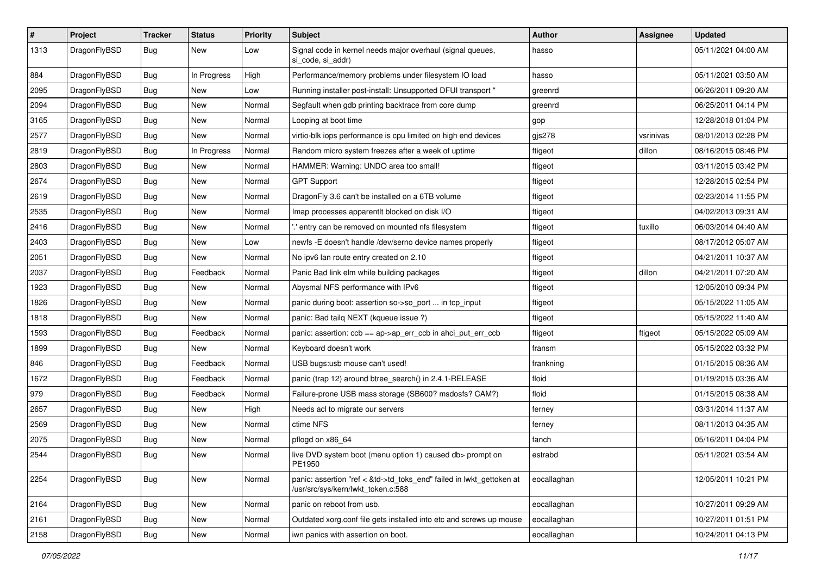| $\sharp$ | Project      | <b>Tracker</b> | <b>Status</b> | <b>Priority</b> | Subject                                                                                                    | <b>Author</b> | <b>Assignee</b> | <b>Updated</b>      |
|----------|--------------|----------------|---------------|-----------------|------------------------------------------------------------------------------------------------------------|---------------|-----------------|---------------------|
| 1313     | DragonFlyBSD | Bug            | New           | Low             | Signal code in kernel needs major overhaul (signal queues,<br>si_code, si_addr)                            | hasso         |                 | 05/11/2021 04:00 AM |
| 884      | DragonFlyBSD | <b>Bug</b>     | In Progress   | High            | Performance/memory problems under filesystem IO load                                                       | hasso         |                 | 05/11/2021 03:50 AM |
| 2095     | DragonFlyBSD | <b>Bug</b>     | New           | Low             | Running installer post-install: Unsupported DFUI transport "                                               | greenrd       |                 | 06/26/2011 09:20 AM |
| 2094     | DragonFlyBSD | Bug            | New           | Normal          | Segfault when gdb printing backtrace from core dump                                                        | greenrd       |                 | 06/25/2011 04:14 PM |
| 3165     | DragonFlyBSD | Bug            | <b>New</b>    | Normal          | Looping at boot time                                                                                       | gop           |                 | 12/28/2018 01:04 PM |
| 2577     | DragonFlyBSD | <b>Bug</b>     | <b>New</b>    | Normal          | virtio-blk iops performance is cpu limited on high end devices                                             | gjs278        | vsrinivas       | 08/01/2013 02:28 PM |
| 2819     | DragonFlyBSD | <b>Bug</b>     | In Progress   | Normal          | Random micro system freezes after a week of uptime                                                         | ftigeot       | dillon          | 08/16/2015 08:46 PM |
| 2803     | DragonFlyBSD | <b>Bug</b>     | New           | Normal          | HAMMER: Warning: UNDO area too small!                                                                      | ftigeot       |                 | 03/11/2015 03:42 PM |
| 2674     | DragonFlyBSD | Bug            | <b>New</b>    | Normal          | <b>GPT Support</b>                                                                                         | ftigeot       |                 | 12/28/2015 02:54 PM |
| 2619     | DragonFlyBSD | <b>Bug</b>     | New           | Normal          | DragonFly 3.6 can't be installed on a 6TB volume                                                           | ftigeot       |                 | 02/23/2014 11:55 PM |
| 2535     | DragonFlyBSD | Bug            | <b>New</b>    | Normal          | Imap processes apparentlt blocked on disk I/O                                                              | ftigeot       |                 | 04/02/2013 09:31 AM |
| 2416     | DragonFlyBSD | <b>Bug</b>     | <b>New</b>    | Normal          | ".' entry can be removed on mounted nfs filesystem                                                         | ftigeot       | tuxillo         | 06/03/2014 04:40 AM |
| 2403     | DragonFlyBSD | <b>Bug</b>     | New           | Low             | newfs -E doesn't handle /dev/serno device names properly                                                   | ftigeot       |                 | 08/17/2012 05:07 AM |
| 2051     | DragonFlyBSD | Bug            | New           | Normal          | No ipv6 lan route entry created on 2.10                                                                    | ftigeot       |                 | 04/21/2011 10:37 AM |
| 2037     | DragonFlyBSD | <b>Bug</b>     | Feedback      | Normal          | Panic Bad link elm while building packages                                                                 | ftigeot       | dillon          | 04/21/2011 07:20 AM |
| 1923     | DragonFlyBSD | <b>Bug</b>     | <b>New</b>    | Normal          | Abysmal NFS performance with IPv6                                                                          | ftigeot       |                 | 12/05/2010 09:34 PM |
| 1826     | DragonFlyBSD | <b>Bug</b>     | New           | Normal          | panic during boot: assertion so->so_port  in tcp_input                                                     | ftigeot       |                 | 05/15/2022 11:05 AM |
| 1818     | DragonFlyBSD | <b>Bug</b>     | New           | Normal          | panic: Bad tailq NEXT (kqueue issue ?)                                                                     | ftigeot       |                 | 05/15/2022 11:40 AM |
| 1593     | DragonFlyBSD | <b>Bug</b>     | Feedback      | Normal          | panic: assertion: ccb == ap->ap_err_ccb in ahci_put_err_ccb                                                | ftigeot       | ftigeot         | 05/15/2022 05:09 AM |
| 1899     | DragonFlyBSD | <b>Bug</b>     | New           | Normal          | Keyboard doesn't work                                                                                      | fransm        |                 | 05/15/2022 03:32 PM |
| 846      | DragonFlyBSD | <b>Bug</b>     | Feedback      | Normal          | USB bugs:usb mouse can't used!                                                                             | frankning     |                 | 01/15/2015 08:36 AM |
| 1672     | DragonFlyBSD | <b>Bug</b>     | Feedback      | Normal          | panic (trap 12) around btree_search() in 2.4.1-RELEASE                                                     | floid         |                 | 01/19/2015 03:36 AM |
| 979      | DragonFlyBSD | <b>Bug</b>     | Feedback      | Normal          | Failure-prone USB mass storage (SB600? msdosfs? CAM?)                                                      | floid         |                 | 01/15/2015 08:38 AM |
| 2657     | DragonFlyBSD | <b>Bug</b>     | New           | High            | Needs acl to migrate our servers                                                                           | ferney        |                 | 03/31/2014 11:37 AM |
| 2569     | DragonFlyBSD | <b>Bug</b>     | <b>New</b>    | Normal          | ctime NFS                                                                                                  | ferney        |                 | 08/11/2013 04:35 AM |
| 2075     | DragonFlyBSD | <b>Bug</b>     | <b>New</b>    | Normal          | pflogd on x86_64                                                                                           | fanch         |                 | 05/16/2011 04:04 PM |
| 2544     | DragonFlyBSD | <b>Bug</b>     | New           | Normal          | live DVD system boot (menu option 1) caused db> prompt on<br>PE1950                                        | estrabd       |                 | 05/11/2021 03:54 AM |
| 2254     | DragonFlyBSD | Bug            | New           | Normal          | panic: assertion "ref < &td->td_toks_end" failed in lwkt_gettoken at<br>/usr/src/sys/kern/lwkt_token.c:588 | eocallaghan   |                 | 12/05/2011 10:21 PM |
| 2164     | DragonFlyBSD | <b>Bug</b>     | <b>New</b>    | Normal          | panic on reboot from usb.                                                                                  | eocallaghan   |                 | 10/27/2011 09:29 AM |
| 2161     | DragonFlyBSD | Bug            | New           | Normal          | Outdated xorg.conf file gets installed into etc and screws up mouse                                        | eocallaghan   |                 | 10/27/2011 01:51 PM |
| 2158     | DragonFlyBSD | <b>Bug</b>     | New           | Normal          | iwn panics with assertion on boot.                                                                         | eocallaghan   |                 | 10/24/2011 04:13 PM |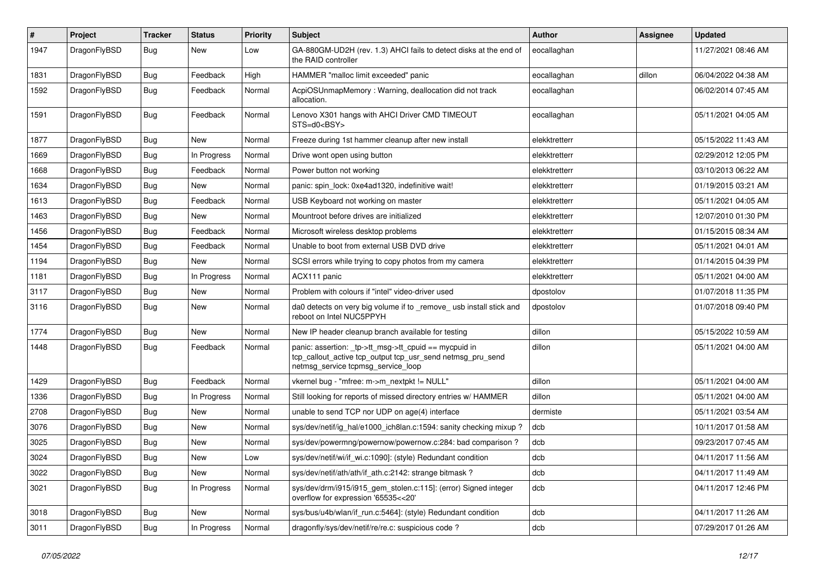| $\sharp$ | Project      | <b>Tracker</b> | <b>Status</b> | <b>Priority</b> | Subject                                                                                                                                                   | <b>Author</b> | Assignee | <b>Updated</b>      |
|----------|--------------|----------------|---------------|-----------------|-----------------------------------------------------------------------------------------------------------------------------------------------------------|---------------|----------|---------------------|
| 1947     | DragonFlyBSD | <b>Bug</b>     | New           | Low             | GA-880GM-UD2H (rev. 1.3) AHCI fails to detect disks at the end of<br>the RAID controller                                                                  | eocallaghan   |          | 11/27/2021 08:46 AM |
| 1831     | DragonFlyBSD | <b>Bug</b>     | Feedback      | High            | HAMMER "malloc limit exceeded" panic                                                                                                                      | eocallaghan   | dillon   | 06/04/2022 04:38 AM |
| 1592     | DragonFlyBSD | <b>Bug</b>     | Feedback      | Normal          | AcpiOSUnmapMemory: Warning, deallocation did not track<br>allocation.                                                                                     | eocallaghan   |          | 06/02/2014 07:45 AM |
| 1591     | DragonFlyBSD | Bug            | Feedback      | Normal          | Lenovo X301 hangs with AHCI Driver CMD TIMEOUT<br>STS=d0 <bsy></bsy>                                                                                      | eocallaghan   |          | 05/11/2021 04:05 AM |
| 1877     | DragonFlyBSD | Bug            | <b>New</b>    | Normal          | Freeze during 1st hammer cleanup after new install                                                                                                        | elekktretterr |          | 05/15/2022 11:43 AM |
| 1669     | DragonFlyBSD | <b>Bug</b>     | In Progress   | Normal          | Drive wont open using button                                                                                                                              | elekktretterr |          | 02/29/2012 12:05 PM |
| 1668     | DragonFlyBSD | <b>Bug</b>     | Feedback      | Normal          | Power button not working                                                                                                                                  | elekktretterr |          | 03/10/2013 06:22 AM |
| 1634     | DragonFlyBSD | <b>Bug</b>     | New           | Normal          | panic: spin lock: 0xe4ad1320, indefinitive wait!                                                                                                          | elekktretterr |          | 01/19/2015 03:21 AM |
| 1613     | DragonFlyBSD | <b>Bug</b>     | Feedback      | Normal          | USB Keyboard not working on master                                                                                                                        | elekktretterr |          | 05/11/2021 04:05 AM |
| 1463     | DragonFlyBSD | Bug            | New           | Normal          | Mountroot before drives are initialized                                                                                                                   | elekktretterr |          | 12/07/2010 01:30 PM |
| 1456     | DragonFlyBSD | <b>Bug</b>     | Feedback      | Normal          | Microsoft wireless desktop problems                                                                                                                       | elekktretterr |          | 01/15/2015 08:34 AM |
| 1454     | DragonFlyBSD | <b>Bug</b>     | Feedback      | Normal          | Unable to boot from external USB DVD drive                                                                                                                | elekktretterr |          | 05/11/2021 04:01 AM |
| 1194     | DragonFlyBSD | <b>Bug</b>     | New           | Normal          | SCSI errors while trying to copy photos from my camera                                                                                                    | elekktretterr |          | 01/14/2015 04:39 PM |
| 1181     | DragonFlyBSD | <b>Bug</b>     | In Progress   | Normal          | ACX111 panic                                                                                                                                              | elekktretterr |          | 05/11/2021 04:00 AM |
| 3117     | DragonFlyBSD | Bug            | New           | Normal          | Problem with colours if "intel" video-driver used                                                                                                         | dpostolov     |          | 01/07/2018 11:35 PM |
| 3116     | DragonFlyBSD | <b>Bug</b>     | New           | Normal          | da0 detects on very big volume if to _remove_ usb install stick and<br>reboot on Intel NUC5PPYH                                                           | dpostolov     |          | 01/07/2018 09:40 PM |
| 1774     | DragonFlyBSD | Bug            | New           | Normal          | New IP header cleanup branch available for testing                                                                                                        | dillon        |          | 05/15/2022 10:59 AM |
| 1448     | DragonFlyBSD | <b>Bug</b>     | Feedback      | Normal          | panic: assertion: _tp->tt_msg->tt_cpuid == mycpuid in<br>tcp_callout_active tcp_output tcp_usr_send netmsg_pru_send<br>netmsg service tcpmsg service loop | dillon        |          | 05/11/2021 04:00 AM |
| 1429     | DragonFlyBSD | Bug            | Feedback      | Normal          | vkernel bug - "mfree: m->m_nextpkt != NULL"                                                                                                               | dillon        |          | 05/11/2021 04:00 AM |
| 1336     | DragonFlyBSD | Bug            | In Progress   | Normal          | Still looking for reports of missed directory entries w/ HAMMER                                                                                           | dillon        |          | 05/11/2021 04:00 AM |
| 2708     | DragonFlyBSD | <b>Bug</b>     | New           | Normal          | unable to send TCP nor UDP on age(4) interface                                                                                                            | dermiste      |          | 05/11/2021 03:54 AM |
| 3076     | DragonFlyBSD | <b>Bug</b>     | New           | Normal          | sys/dev/netif/ig_hal/e1000_ich8lan.c:1594: sanity checking mixup?                                                                                         | dcb           |          | 10/11/2017 01:58 AM |
| 3025     | DragonFlyBSD | Bug            | New           | Normal          | sys/dev/powermng/powernow/powernow.c:284: bad comparison?                                                                                                 | dcb           |          | 09/23/2017 07:45 AM |
| 3024     | DragonFlyBSD | <b>Bug</b>     | <b>New</b>    | Low             | sys/dev/netif/wi/if_wi.c:1090]: (style) Redundant condition                                                                                               | dcb           |          | 04/11/2017 11:56 AM |
| 3022     | DragonFlyBSD | Bug            | New           | Normal          | sys/dev/netif/ath/ath/if_ath.c:2142: strange bitmask?                                                                                                     | dcb           |          | 04/11/2017 11:49 AM |
| 3021     | DragonFlyBSD | <b>Bug</b>     | In Progress   | Normal          | sys/dev/drm/i915/i915_gem_stolen.c:115]: (error) Signed integer<br>overflow for expression '65535<<20'                                                    | dcb           |          | 04/11/2017 12:46 PM |
| 3018     | DragonFlyBSD | <b>Bug</b>     | New           | Normal          | sys/bus/u4b/wlan/if_run.c:5464]: (style) Redundant condition                                                                                              | dcb           |          | 04/11/2017 11:26 AM |
| 3011     | DragonFlyBSD | <b>Bug</b>     | In Progress   | Normal          | dragonfly/sys/dev/netif/re/re.c: suspicious code?                                                                                                         | dcb           |          | 07/29/2017 01:26 AM |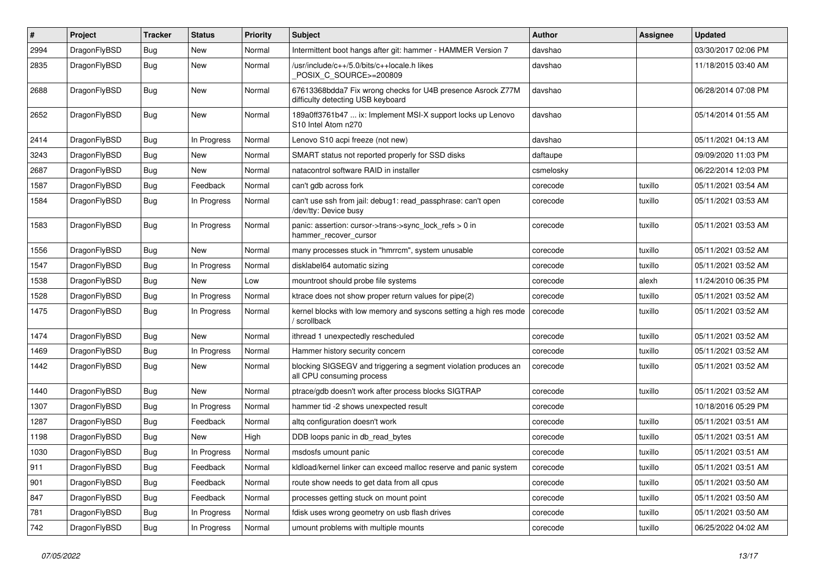| $\pmb{\#}$ | Project      | <b>Tracker</b> | <b>Status</b> | <b>Priority</b> | Subject                                                                                          | <b>Author</b> | Assignee | Updated             |
|------------|--------------|----------------|---------------|-----------------|--------------------------------------------------------------------------------------------------|---------------|----------|---------------------|
| 2994       | DragonFlyBSD | Bug            | <b>New</b>    | Normal          | Intermittent boot hangs after git: hammer - HAMMER Version 7                                     | davshao       |          | 03/30/2017 02:06 PM |
| 2835       | DragonFlyBSD | <b>Bug</b>     | <b>New</b>    | Normal          | /usr/include/c++/5.0/bits/c++locale.h likes<br>POSIX C SOURCE>=200809                            | davshao       |          | 11/18/2015 03:40 AM |
| 2688       | DragonFlyBSD | Bug            | New           | Normal          | 67613368bdda7 Fix wrong checks for U4B presence Asrock Z77M<br>difficulty detecting USB keyboard | davshao       |          | 06/28/2014 07:08 PM |
| 2652       | DragonFlyBSD | <b>Bug</b>     | <b>New</b>    | Normal          | 189a0ff3761b47  ix: Implement MSI-X support locks up Lenovo<br>S10 Intel Atom n270               | davshao       |          | 05/14/2014 01:55 AM |
| 2414       | DragonFlyBSD | <b>Bug</b>     | In Progress   | Normal          | Lenovo S10 acpi freeze (not new)                                                                 | davshao       |          | 05/11/2021 04:13 AM |
| 3243       | DragonFlyBSD | Bug            | New           | Normal          | SMART status not reported properly for SSD disks                                                 | daftaupe      |          | 09/09/2020 11:03 PM |
| 2687       | DragonFlyBSD | Bug            | <b>New</b>    | Normal          | natacontrol software RAID in installer                                                           | csmelosky     |          | 06/22/2014 12:03 PM |
| 1587       | DragonFlyBSD | Bug            | Feedback      | Normal          | can't gdb across fork                                                                            | corecode      | tuxillo  | 05/11/2021 03:54 AM |
| 1584       | DragonFlyBSD | Bug            | In Progress   | Normal          | can't use ssh from jail: debug1: read_passphrase: can't open<br>/dev/tty: Device busy            | corecode      | tuxillo  | 05/11/2021 03:53 AM |
| 1583       | DragonFlyBSD | <b>Bug</b>     | In Progress   | Normal          | panic: assertion: cursor->trans->sync_lock_refs > 0 in<br>hammer_recover_cursor                  | corecode      | tuxillo  | 05/11/2021 03:53 AM |
| 1556       | DragonFlyBSD | <b>Bug</b>     | <b>New</b>    | Normal          | many processes stuck in "hmrrcm", system unusable                                                | corecode      | tuxillo  | 05/11/2021 03:52 AM |
| 1547       | DragonFlyBSD | Bug            | In Progress   | Normal          | disklabel64 automatic sizing                                                                     | corecode      | tuxillo  | 05/11/2021 03:52 AM |
| 1538       | DragonFlyBSD | Bug            | New           | Low             | mountroot should probe file systems                                                              | corecode      | alexh    | 11/24/2010 06:35 PM |
| 1528       | DragonFlyBSD | Bug            | In Progress   | Normal          | ktrace does not show proper return values for pipe(2)                                            | corecode      | tuxillo  | 05/11/2021 03:52 AM |
| 1475       | DragonFlyBSD | Bug            | In Progress   | Normal          | kernel blocks with low memory and syscons setting a high res mode<br>/ scrollback                | corecode      | tuxillo  | 05/11/2021 03:52 AM |
| 1474       | DragonFlyBSD | <b>Bug</b>     | <b>New</b>    | Normal          | ithread 1 unexpectedly rescheduled                                                               | corecode      | tuxillo  | 05/11/2021 03:52 AM |
| 1469       | DragonFlyBSD | Bug            | In Progress   | Normal          | Hammer history security concern                                                                  | corecode      | tuxillo  | 05/11/2021 03:52 AM |
| 1442       | DragonFlyBSD | Bug            | <b>New</b>    | Normal          | blocking SIGSEGV and triggering a segment violation produces an<br>all CPU consuming process     | corecode      | tuxillo  | 05/11/2021 03:52 AM |
| 1440       | DragonFlyBSD | Bug            | <b>New</b>    | Normal          | ptrace/gdb doesn't work after process blocks SIGTRAP                                             | corecode      | tuxillo  | 05/11/2021 03:52 AM |
| 1307       | DragonFlyBSD | Bug            | In Progress   | Normal          | hammer tid -2 shows unexpected result                                                            | corecode      |          | 10/18/2016 05:29 PM |
| 1287       | DragonFlyBSD | <b>Bug</b>     | Feedback      | Normal          | altq configuration doesn't work                                                                  | corecode      | tuxillo  | 05/11/2021 03:51 AM |
| 1198       | DragonFlyBSD | Bug            | <b>New</b>    | High            | DDB loops panic in db read bytes                                                                 | corecode      | tuxillo  | 05/11/2021 03:51 AM |
| 1030       | DragonFlyBSD | Bug            | In Progress   | Normal          | msdosfs umount panic                                                                             | corecode      | tuxillo  | 05/11/2021 03:51 AM |
| 911        | DragonFlyBSD | <b>Bug</b>     | Feedback      | Normal          | kldload/kernel linker can exceed malloc reserve and panic system                                 | corecode      | tuxillo  | 05/11/2021 03:51 AM |
| 901        | DragonFlyBSD | Bug            | Feedback      | Normal          | route show needs to get data from all cpus                                                       | corecode      | tuxillo  | 05/11/2021 03:50 AM |
| 847        | DragonFlyBSD | <b>Bug</b>     | Feedback      | Normal          | processes getting stuck on mount point                                                           | corecode      | tuxillo  | 05/11/2021 03:50 AM |
| 781        | DragonFlyBSD | Bug            | In Progress   | Normal          | fdisk uses wrong geometry on usb flash drives                                                    | corecode      | tuxillo  | 05/11/2021 03:50 AM |
| 742        | DragonFlyBSD | <b>Bug</b>     | In Progress   | Normal          | umount problems with multiple mounts                                                             | corecode      | tuxillo  | 06/25/2022 04:02 AM |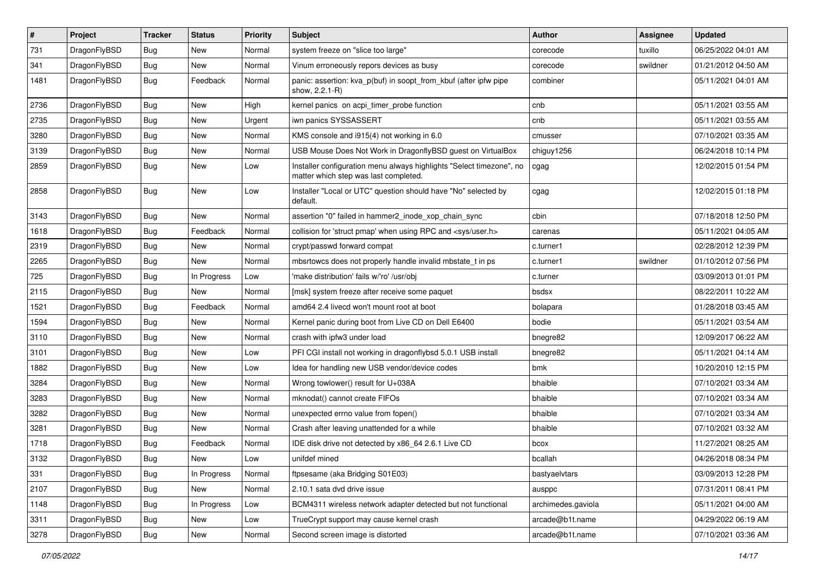| $\sharp$ | Project      | <b>Tracker</b> | <b>Status</b> | <b>Priority</b> | Subject                                                                                                       | <b>Author</b>      | Assignee | <b>Updated</b>      |
|----------|--------------|----------------|---------------|-----------------|---------------------------------------------------------------------------------------------------------------|--------------------|----------|---------------------|
| 731      | DragonFlyBSD | Bug            | New           | Normal          | system freeze on "slice too large"                                                                            | corecode           | tuxillo  | 06/25/2022 04:01 AM |
| 341      | DragonFlyBSD | Bug            | New           | Normal          | Vinum erroneously repors devices as busy                                                                      | corecode           | swildner | 01/21/2012 04:50 AM |
| 1481     | DragonFlyBSD | <b>Bug</b>     | Feedback      | Normal          | panic: assertion: kva_p(buf) in soopt_from_kbuf (after ipfw pipe<br>show, 2.2.1-R)                            | combiner           |          | 05/11/2021 04:01 AM |
| 2736     | DragonFlyBSD | Bug            | <b>New</b>    | High            | kernel panics on acpi_timer_probe function                                                                    | cnb                |          | 05/11/2021 03:55 AM |
| 2735     | DragonFlyBSD | Bug            | New           | Urgent          | iwn panics SYSSASSERT                                                                                         | cnb                |          | 05/11/2021 03:55 AM |
| 3280     | DragonFlyBSD | Bug            | New           | Normal          | KMS console and i915(4) not working in 6.0                                                                    | cmusser            |          | 07/10/2021 03:35 AM |
| 3139     | DragonFlyBSD | Bug            | New           | Normal          | USB Mouse Does Not Work in DragonflyBSD guest on VirtualBox                                                   | chiguy1256         |          | 06/24/2018 10:14 PM |
| 2859     | DragonFlyBSD | Bug            | New           | Low             | Installer configuration menu always highlights "Select timezone", no<br>matter which step was last completed. | cgag               |          | 12/02/2015 01:54 PM |
| 2858     | DragonFlyBSD | Bug            | <b>New</b>    | Low             | Installer "Local or UTC" question should have "No" selected by<br>default.                                    | cgag               |          | 12/02/2015 01:18 PM |
| 3143     | DragonFlyBSD | Bug            | <b>New</b>    | Normal          | assertion "0" failed in hammer2_inode_xop_chain_sync                                                          | cbin               |          | 07/18/2018 12:50 PM |
| 1618     | DragonFlyBSD | Bug            | Feedback      | Normal          | collision for 'struct pmap' when using RPC and <sys user.h=""></sys>                                          | carenas            |          | 05/11/2021 04:05 AM |
| 2319     | DragonFlyBSD | Bug            | New           | Normal          | crypt/passwd forward compat                                                                                   | c.turner1          |          | 02/28/2012 12:39 PM |
| 2265     | DragonFlyBSD | Bug            | New           | Normal          | mbsrtowcs does not properly handle invalid mbstate t in ps                                                    | c.turner1          | swildner | 01/10/2012 07:56 PM |
| 725      | DragonFlyBSD | Bug            | In Progress   | Low             | 'make distribution' fails w/'ro' /usr/obj                                                                     | c.turner           |          | 03/09/2013 01:01 PM |
| 2115     | DragonFlyBSD | Bug            | New           | Normal          | [msk] system freeze after receive some paquet                                                                 | bsdsx              |          | 08/22/2011 10:22 AM |
| 1521     | DragonFlyBSD | Bug            | Feedback      | Normal          | amd64 2.4 livecd won't mount root at boot                                                                     | bolapara           |          | 01/28/2018 03:45 AM |
| 1594     | DragonFlyBSD | Bug            | <b>New</b>    | Normal          | Kernel panic during boot from Live CD on Dell E6400                                                           | bodie              |          | 05/11/2021 03:54 AM |
| 3110     | DragonFlyBSD | Bug            | New           | Normal          | crash with ipfw3 under load                                                                                   | bnegre82           |          | 12/09/2017 06:22 AM |
| 3101     | DragonFlyBSD | Bug            | <b>New</b>    | Low             | PFI CGI install not working in dragonflybsd 5.0.1 USB install                                                 | bnegre82           |          | 05/11/2021 04:14 AM |
| 1882     | DragonFlyBSD | Bug            | <b>New</b>    | Low             | Idea for handling new USB vendor/device codes                                                                 | bmk                |          | 10/20/2010 12:15 PM |
| 3284     | DragonFlyBSD | Bug            | <b>New</b>    | Normal          | Wrong towlower() result for U+038A                                                                            | bhaible            |          | 07/10/2021 03:34 AM |
| 3283     | DragonFlyBSD | Bug            | New           | Normal          | mknodat() cannot create FIFOs                                                                                 | bhaible            |          | 07/10/2021 03:34 AM |
| 3282     | DragonFlyBSD | Bug            | <b>New</b>    | Normal          | unexpected errno value from fopen()                                                                           | bhaible            |          | 07/10/2021 03:34 AM |
| 3281     | DragonFlyBSD | Bug            | New           | Normal          | Crash after leaving unattended for a while                                                                    | bhaible            |          | 07/10/2021 03:32 AM |
| 1718     | DragonFlyBSD | Bug            | Feedback      | Normal          | IDE disk drive not detected by x86_64 2.6.1 Live CD                                                           | bcox               |          | 11/27/2021 08:25 AM |
| 3132     | DragonFlyBSD | Bug            | <b>New</b>    | Low             | unifdef mined                                                                                                 | bcallah            |          | 04/26/2018 08:34 PM |
| 331      | DragonFlyBSD | <b>Bug</b>     | In Progress   | Normal          | ftpsesame (aka Bridging S01E03)                                                                               | bastyaelvtars      |          | 03/09/2013 12:28 PM |
| 2107     | DragonFlyBSD | <b>Bug</b>     | New           | Normal          | 2.10.1 sata dvd drive issue                                                                                   | ausppc             |          | 07/31/2011 08:41 PM |
| 1148     | DragonFlyBSD | Bug            | In Progress   | Low             | BCM4311 wireless network adapter detected but not functional                                                  | archimedes.gaviola |          | 05/11/2021 04:00 AM |
| 3311     | DragonFlyBSD | <b>Bug</b>     | New           | Low             | TrueCrypt support may cause kernel crash                                                                      | arcade@b1t.name    |          | 04/29/2022 06:19 AM |
| 3278     | DragonFlyBSD | <b>Bug</b>     | New           | Normal          | Second screen image is distorted                                                                              | arcade@b1t.name    |          | 07/10/2021 03:36 AM |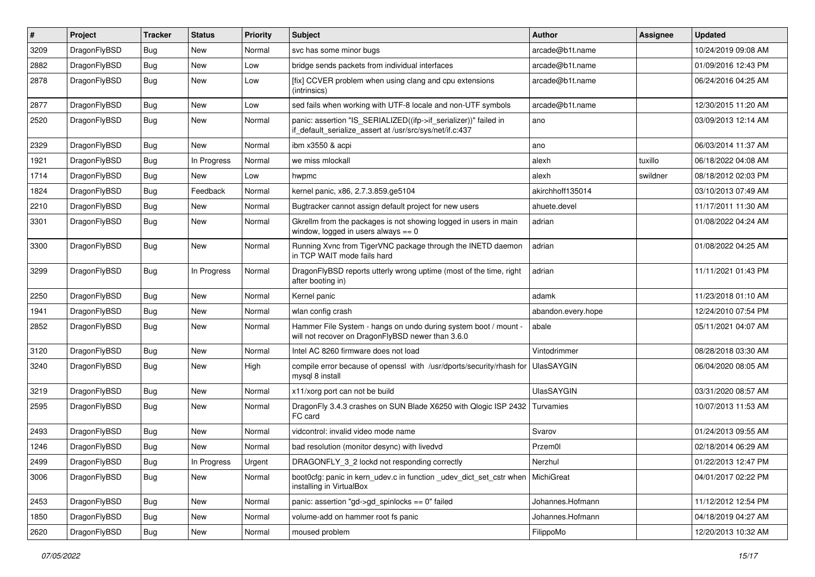| #    | Project      | <b>Tracker</b> | <b>Status</b> | <b>Priority</b> | Subject                                                                                                                      | <b>Author</b>      | Assignee | <b>Updated</b>      |
|------|--------------|----------------|---------------|-----------------|------------------------------------------------------------------------------------------------------------------------------|--------------------|----------|---------------------|
| 3209 | DragonFlyBSD | <b>Bug</b>     | <b>New</b>    | Normal          | svc has some minor bugs                                                                                                      | arcade@b1t.name    |          | 10/24/2019 09:08 AM |
| 2882 | DragonFlyBSD | <b>Bug</b>     | <b>New</b>    | Low             | bridge sends packets from individual interfaces                                                                              | arcade@b1t.name    |          | 01/09/2016 12:43 PM |
| 2878 | DragonFlyBSD | Bug            | New           | Low             | [fix] CCVER problem when using clang and cpu extensions<br>(intrinsics)                                                      | arcade@b1t.name    |          | 06/24/2016 04:25 AM |
| 2877 | DragonFlyBSD | Bug            | New           | Low             | sed fails when working with UTF-8 locale and non-UTF symbols                                                                 | arcade@b1t.name    |          | 12/30/2015 11:20 AM |
| 2520 | DragonFlyBSD | Bug            | New           | Normal          | panic: assertion "IS_SERIALIZED((ifp->if_serializer))" failed in<br>if_default_serialize_assert at /usr/src/sys/net/if.c:437 | ano                |          | 03/09/2013 12:14 AM |
| 2329 | DragonFlyBSD | Bug            | <b>New</b>    | Normal          | ibm x3550 & acpi                                                                                                             | ano                |          | 06/03/2014 11:37 AM |
| 1921 | DragonFlyBSD | <b>Bug</b>     | In Progress   | Normal          | we miss mlockall                                                                                                             | alexh              | tuxillo  | 06/18/2022 04:08 AM |
| 1714 | DragonFlyBSD | Bug            | New           | Low             | hwpmc                                                                                                                        | alexh              | swildner | 08/18/2012 02:03 PM |
| 1824 | DragonFlyBSD | <b>Bug</b>     | Feedback      | Normal          | kernel panic, x86, 2.7.3.859.ge5104                                                                                          | akirchhoff135014   |          | 03/10/2013 07:49 AM |
| 2210 | DragonFlyBSD | <b>Bug</b>     | New           | Normal          | Bugtracker cannot assign default project for new users                                                                       | ahuete.devel       |          | 11/17/2011 11:30 AM |
| 3301 | DragonFlyBSD | Bug            | New           | Normal          | Gkrellm from the packages is not showing logged in users in main<br>window, logged in users always $== 0$                    | adrian             |          | 01/08/2022 04:24 AM |
| 3300 | DragonFlyBSD | Bug            | New           | Normal          | Running Xvnc from TigerVNC package through the INETD daemon<br>in TCP WAIT mode fails hard                                   | adrian             |          | 01/08/2022 04:25 AM |
| 3299 | DragonFlyBSD | Bug            | In Progress   | Normal          | DragonFlyBSD reports utterly wrong uptime (most of the time, right<br>after booting in)                                      | adrian             |          | 11/11/2021 01:43 PM |
| 2250 | DragonFlyBSD | Bug            | <b>New</b>    | Normal          | Kernel panic                                                                                                                 | adamk              |          | 11/23/2018 01:10 AM |
| 1941 | DragonFlyBSD | <b>Bug</b>     | <b>New</b>    | Normal          | wlan config crash                                                                                                            | abandon.every.hope |          | 12/24/2010 07:54 PM |
| 2852 | DragonFlyBSD | Bug            | New           | Normal          | Hammer File System - hangs on undo during system boot / mount -<br>will not recover on DragonFlyBSD newer than 3.6.0         | abale              |          | 05/11/2021 04:07 AM |
| 3120 | DragonFlyBSD | Bug            | <b>New</b>    | Normal          | Intel AC 8260 firmware does not load                                                                                         | Vintodrimmer       |          | 08/28/2018 03:30 AM |
| 3240 | DragonFlyBSD | Bug            | <b>New</b>    | High            | compile error because of openssl with /usr/dports/security/rhash for<br>mysql 8 install                                      | <b>UlasSAYGIN</b>  |          | 06/04/2020 08:05 AM |
| 3219 | DragonFlyBSD | Bug            | New           | Normal          | x11/xorg port can not be build                                                                                               | <b>UlasSAYGIN</b>  |          | 03/31/2020 08:57 AM |
| 2595 | DragonFlyBSD | Bug            | New           | Normal          | DragonFly 3.4.3 crashes on SUN Blade X6250 with Qlogic ISP 2432<br>FC card                                                   | Turvamies          |          | 10/07/2013 11:53 AM |
| 2493 | DragonFlyBSD | Bug            | New           | Normal          | vidcontrol: invalid video mode name                                                                                          | Svarov             |          | 01/24/2013 09:55 AM |
| 1246 | DragonFlyBSD | <b>Bug</b>     | New           | Normal          | bad resolution (monitor desync) with livedvd                                                                                 | Przem0l            |          | 02/18/2014 06:29 AM |
| 2499 | DragonFlyBSD | <b>Bug</b>     | In Progress   | Urgent          | DRAGONFLY_3_2 lockd not responding correctly                                                                                 | Nerzhul            |          | 01/22/2013 12:47 PM |
| 3006 | DragonFlyBSD | Bug            | New           | Normal          | boot Ocfg: panic in kern udev.c in function udev dict set cstr when<br>installing in VirtualBox                              | MichiGreat         |          | 04/01/2017 02:22 PM |
| 2453 | DragonFlyBSD | <b>Bug</b>     | <b>New</b>    | Normal          | panic: assertion "gd->gd_spinlocks == 0" failed                                                                              | Johannes.Hofmann   |          | 11/12/2012 12:54 PM |
| 1850 | DragonFlyBSD | <b>Bug</b>     | New           | Normal          | volume-add on hammer root fs panic                                                                                           | Johannes.Hofmann   |          | 04/18/2019 04:27 AM |
| 2620 | DragonFlyBSD | <b>Bug</b>     | New           | Normal          | moused problem                                                                                                               | FilippoMo          |          | 12/20/2013 10:32 AM |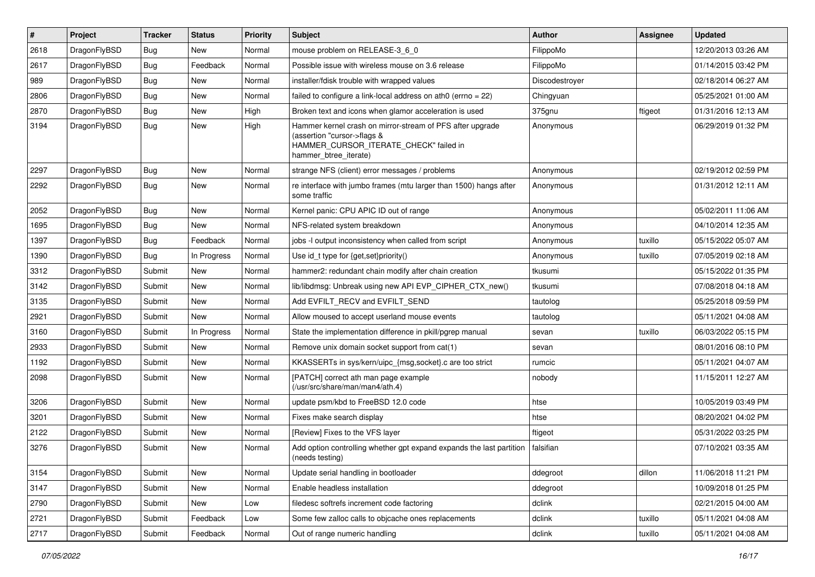| $\sharp$ | Project      | <b>Tracker</b> | <b>Status</b> | <b>Priority</b> | Subject                                                                                                                                                     | <b>Author</b>  | Assignee | <b>Updated</b>      |
|----------|--------------|----------------|---------------|-----------------|-------------------------------------------------------------------------------------------------------------------------------------------------------------|----------------|----------|---------------------|
| 2618     | DragonFlyBSD | <b>Bug</b>     | New           | Normal          | mouse problem on RELEASE-3_6_0                                                                                                                              | FilippoMo      |          | 12/20/2013 03:26 AM |
| 2617     | DragonFlyBSD | Bug            | Feedback      | Normal          | Possible issue with wireless mouse on 3.6 release                                                                                                           | FilippoMo      |          | 01/14/2015 03:42 PM |
| 989      | DragonFlyBSD | <b>Bug</b>     | New           | Normal          | installer/fdisk trouble with wrapped values                                                                                                                 | Discodestroyer |          | 02/18/2014 06:27 AM |
| 2806     | DragonFlyBSD | <b>Bug</b>     | New           | Normal          | failed to configure a link-local address on ath0 (errno = 22)                                                                                               | Chingyuan      |          | 05/25/2021 01:00 AM |
| 2870     | DragonFlyBSD | Bug            | <b>New</b>    | High            | Broken text and icons when glamor acceleration is used                                                                                                      | 375gnu         | ftigeot  | 01/31/2016 12:13 AM |
| 3194     | DragonFlyBSD | Bug            | <b>New</b>    | High            | Hammer kernel crash on mirror-stream of PFS after upgrade<br>(assertion "cursor->flags &<br>HAMMER_CURSOR_ITERATE_CHECK" failed in<br>hammer_btree_iterate) | Anonymous      |          | 06/29/2019 01:32 PM |
| 2297     | DragonFlyBSD | Bug            | <b>New</b>    | Normal          | strange NFS (client) error messages / problems                                                                                                              | Anonymous      |          | 02/19/2012 02:59 PM |
| 2292     | DragonFlyBSD | <b>Bug</b>     | <b>New</b>    | Normal          | re interface with jumbo frames (mtu larger than 1500) hangs after<br>some traffic                                                                           | Anonymous      |          | 01/31/2012 12:11 AM |
| 2052     | DragonFlyBSD | Bug            | New           | Normal          | Kernel panic: CPU APIC ID out of range                                                                                                                      | Anonymous      |          | 05/02/2011 11:06 AM |
| 1695     | DragonFlyBSD | <b>Bug</b>     | New           | Normal          | NFS-related system breakdown                                                                                                                                | Anonymous      |          | 04/10/2014 12:35 AM |
| 1397     | DragonFlyBSD | <b>Bug</b>     | Feedback      | Normal          | jobs -I output inconsistency when called from script                                                                                                        | Anonymous      | tuxillo  | 05/15/2022 05:07 AM |
| 1390     | DragonFlyBSD | <b>Bug</b>     | In Progress   | Normal          | Use id_t type for {get,set}priority()                                                                                                                       | Anonymous      | tuxillo  | 07/05/2019 02:18 AM |
| 3312     | DragonFlyBSD | Submit         | <b>New</b>    | Normal          | hammer2: redundant chain modify after chain creation                                                                                                        | tkusumi        |          | 05/15/2022 01:35 PM |
| 3142     | DragonFlyBSD | Submit         | New           | Normal          | lib/libdmsg: Unbreak using new API EVP CIPHER CTX new()                                                                                                     | tkusumi        |          | 07/08/2018 04:18 AM |
| 3135     | DragonFlyBSD | Submit         | New           | Normal          | Add EVFILT_RECV and EVFILT_SEND                                                                                                                             | tautolog       |          | 05/25/2018 09:59 PM |
| 2921     | DragonFlyBSD | Submit         | New           | Normal          | Allow moused to accept userland mouse events                                                                                                                | tautolog       |          | 05/11/2021 04:08 AM |
| 3160     | DragonFlyBSD | Submit         | In Progress   | Normal          | State the implementation difference in pkill/pgrep manual                                                                                                   | sevan          | tuxillo  | 06/03/2022 05:15 PM |
| 2933     | DragonFlyBSD | Submit         | New           | Normal          | Remove unix domain socket support from cat(1)                                                                                                               | sevan          |          | 08/01/2016 08:10 PM |
| 1192     | DragonFlyBSD | Submit         | <b>New</b>    | Normal          | KKASSERTs in sys/kern/uipc_{msg,socket}.c are too strict                                                                                                    | rumcic         |          | 05/11/2021 04:07 AM |
| 2098     | DragonFlyBSD | Submit         | New           | Normal          | [PATCH] correct ath man page example<br>(/usr/src/share/man/man4/ath.4)                                                                                     | nobody         |          | 11/15/2011 12:27 AM |
| 3206     | DragonFlyBSD | Submit         | <b>New</b>    | Normal          | update psm/kbd to FreeBSD 12.0 code                                                                                                                         | htse           |          | 10/05/2019 03:49 PM |
| 3201     | DragonFlyBSD | Submit         | New           | Normal          | Fixes make search display                                                                                                                                   | htse           |          | 08/20/2021 04:02 PM |
| 2122     | DragonFlyBSD | Submit         | New           | Normal          | [Review] Fixes to the VFS layer                                                                                                                             | ftigeot        |          | 05/31/2022 03:25 PM |
| 3276     | DragonFlyBSD | Submit         | New           | Normal          | Add option controlling whether gpt expand expands the last partition<br>(needs testing)                                                                     | falsifian      |          | 07/10/2021 03:35 AM |
| 3154     | DragonFlyBSD | Submit         | New           | Normal          | Update serial handling in bootloader                                                                                                                        | ddegroot       | dillon   | 11/06/2018 11:21 PM |
| 3147     | DragonFlyBSD | Submit         | New           | Normal          | Enable headless installation                                                                                                                                | ddegroot       |          | 10/09/2018 01:25 PM |
| 2790     | DragonFlyBSD | Submit         | New           | Low             | filedesc softrefs increment code factoring                                                                                                                  | dclink         |          | 02/21/2015 04:00 AM |
| 2721     | DragonFlyBSD | Submit         | Feedback      | Low             | Some few zalloc calls to objcache ones replacements                                                                                                         | dclink         | tuxillo  | 05/11/2021 04:08 AM |
| 2717     | DragonFlyBSD | Submit         | Feedback      | Normal          | Out of range numeric handling                                                                                                                               | dclink         | tuxillo  | 05/11/2021 04:08 AM |